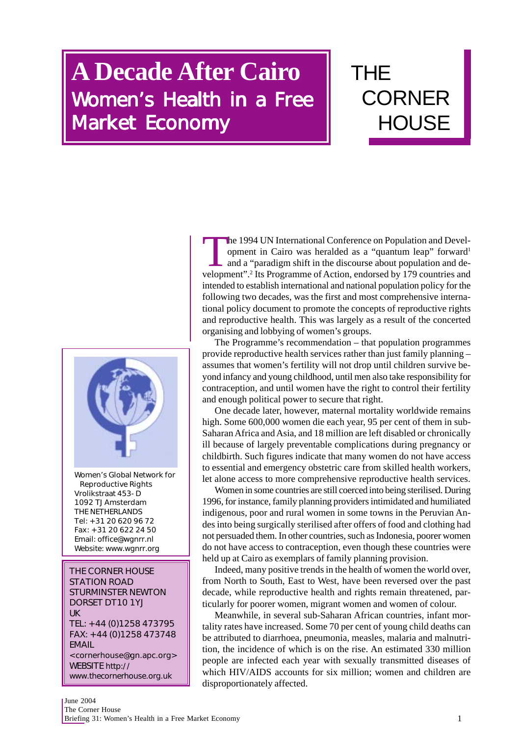# **A Decade After Cairo** Women's Health in a Free Market Economy

# THE **CORNER HOUSE**

Women's Global Network for Reproductive Rights Vrolikstraat 453-D 1092 TJ Amsterdam THE NETHERLANDS Tel: +31 20 620 96 72 Fax: +31 20 622 24 50 Email: office@wgnrr.nl Website: www.wgnrr.org

THE CORNER HOUSE STATION ROAD STURMINSTER NEWTON DORSET DT10 1YJ UK TEL: +44 (0)1258 473795 FAX: +44 (0)1258 473748 EMAIL <cornerhouse@gn.apc.org> WEBSITE http:// www.thecornerhouse.org.uk

The 1994 UN International Conference on Population and Devel-<br>
opment in Cairo was heralded as a "quantum leap" forward<sup>1</sup><br>
and a "paradigm shift in the discourse about population and de-<br>
valenment" <sup>2</sup> Its Programme of A opment in Cairo was heralded as a "quantum leap" forward<sup>1</sup> velopment".<sup>2</sup> Its Programme of Action, endorsed by 179 countries and intended to establish international and national population policy for the following two decades, was the first and most comprehensive international policy document to promote the concepts of reproductive rights and reproductive health. This was largely as a result of the concerted organising and lobbying of women's groups.

The Programme's recommendation – that population programmes provide reproductive health services rather than just family planning – assumes that women's fertility will not drop until children survive beyond infancy and young childhood, until men also take responsibility for contraception, and until women have the right to control their fertility and enough political power to secure that right.

One decade later, however, maternal mortality worldwide remains high. Some 600,000 women die each year, 95 per cent of them in sub-Saharan Africa and Asia, and 18 million are left disabled or chronically ill because of largely preventable complications during pregnancy or childbirth. Such figures indicate that many women do not have access to essential and emergency obstetric care from skilled health workers, let alone access to more comprehensive reproductive health services.

Women in some countries are still coerced into being sterilised. During 1996, for instance, family planning providers intimidated and humiliated indigenous, poor and rural women in some towns in the Peruvian Andes into being surgically sterilised after offers of food and clothing had not persuaded them. In other countries, such as Indonesia, poorer women do not have access to contraception, even though these countries were held up at Cairo as exemplars of family planning provision.

Indeed, many positive trends in the health of women the world over, from North to South, East to West, have been reversed over the past decade, while reproductive health and rights remain threatened, particularly for poorer women, migrant women and women of colour.

Meanwhile, in several sub-Saharan African countries, infant mortality rates have increased. Some 70 per cent of young child deaths can be attributed to diarrhoea, pneumonia, measles, malaria and malnutrition, the incidence of which is on the rise. An estimated 330 million people are infected each year with sexually transmitted diseases of which HIV/AIDS accounts for six million; women and children are disproportionately affected.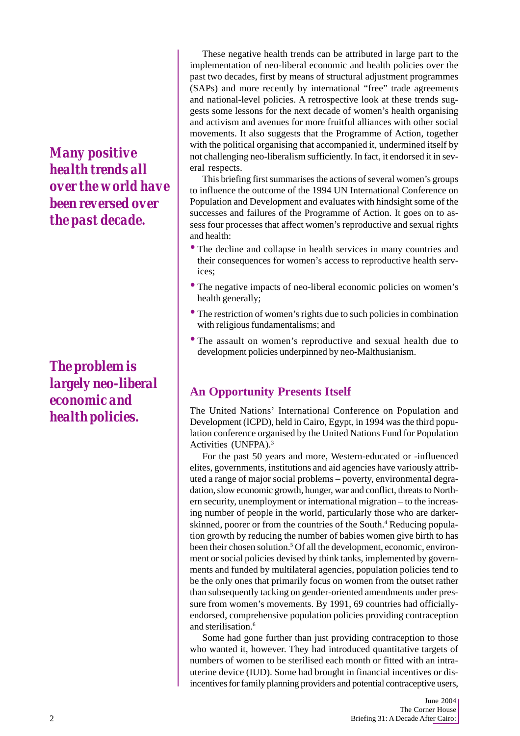*Many positive health trends all over the world have been reversed over the past decade.*

*The problem is largely neo-liberal economic and health policies.*

These negative health trends can be attributed in large part to the implementation of neo-liberal economic and health policies over the past two decades, first by means of structural adjustment programmes (SAPs) and more recently by international "free" trade agreements and national-level policies. A retrospective look at these trends suggests some lessons for the next decade of women's health organising and activism and avenues for more fruitful alliances with other social movements. It also suggests that the Programme of Action, together with the political organising that accompanied it, undermined itself by not challenging neo-liberalism sufficiently. In fact, it endorsed it in several respects.

This briefing first summarises the actions of several women's groups to influence the outcome of the 1994 UN International Conference on Population and Development and evaluates with hindsight some of the successes and failures of the Programme of Action. It goes on to assess four processes that affect women's reproductive and sexual rights and health:

- The decline and collapse in health services in many countries and their consequences for women's access to reproductive health services;
- The negative impacts of neo-liberal economic policies on women's health generally;
- The restriction of women's rights due to such policies in combination with religious fundamentalisms; and
- The assault on women's reproductive and sexual health due to development policies underpinned by neo-Malthusianism.

### **An Opportunity Presents Itself**

The United Nations' International Conference on Population and Development (ICPD), held in Cairo, Egypt, in 1994 was the third population conference organised by the United Nations Fund for Population Activities (UNFPA).3

For the past 50 years and more, Western-educated or -influenced elites, governments, institutions and aid agencies have variously attributed a range of major social problems – poverty, environmental degradation, slow economic growth, hunger, war and conflict, threats to Northern security, unemployment or international migration – to the increasing number of people in the world, particularly those who are darkerskinned, poorer or from the countries of the South.<sup>4</sup> Reducing population growth by reducing the number of babies women give birth to has been their chosen solution.<sup>5</sup> Of all the development, economic, environment or social policies devised by think tanks, implemented by governments and funded by multilateral agencies, population policies tend to be the only ones that primarily focus on women from the outset rather than subsequently tacking on gender-oriented amendments under pressure from women's movements. By 1991, 69 countries had officiallyendorsed, comprehensive population policies providing contraception and sterilisation.<sup>6</sup>

Some had gone further than just providing contraception to those who wanted it, however. They had introduced quantitative targets of numbers of women to be sterilised each month or fitted with an intrauterine device (IUD). Some had brought in financial incentives or disincentives for family planning providers and potential contraceptive users,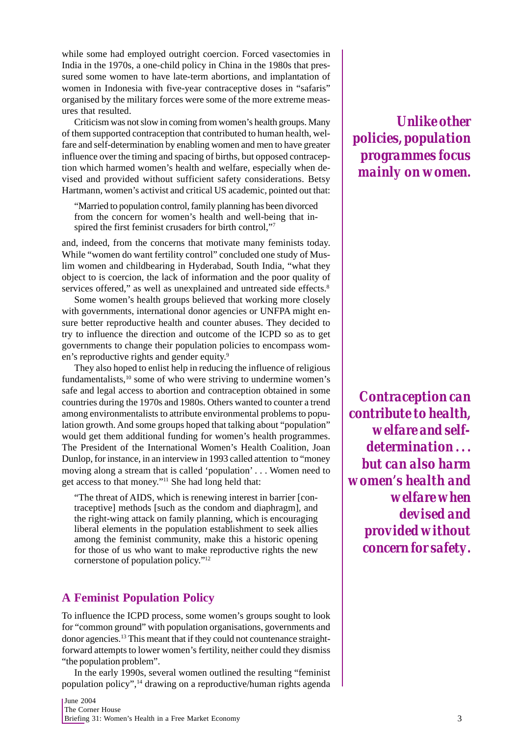while some had employed outright coercion. Forced vasectomies in India in the 1970s, a one-child policy in China in the 1980s that pressured some women to have late-term abortions, and implantation of women in Indonesia with five-year contraceptive doses in "safaris" organised by the military forces were some of the more extreme measures that resulted.

Criticism was not slow in coming from women's health groups. Many of them supported contraception that contributed to human health, welfare and self-determination by enabling women and men to have greater influence over the timing and spacing of births, but opposed contraception which harmed women's health and welfare, especially when devised and provided without sufficient safety considerations. Betsy Hartmann, women's activist and critical US academic, pointed out that:

"Married to population control, family planning has been divorced from the concern for women's health and well-being that inspired the first feminist crusaders for birth control."<sup>7</sup>

and, indeed, from the concerns that motivate many feminists today. While "women do want fertility control" concluded one study of Muslim women and childbearing in Hyderabad, South India, "what they object to is coercion, the lack of information and the poor quality of services offered," as well as unexplained and untreated side effects.<sup>8</sup>

Some women's health groups believed that working more closely with governments, international donor agencies or UNFPA might ensure better reproductive health and counter abuses. They decided to try to influence the direction and outcome of the ICPD so as to get governments to change their population policies to encompass women's reproductive rights and gender equity.<sup>9</sup>

They also hoped to enlist help in reducing the influence of religious fundamentalists,<sup>10</sup> some of who were striving to undermine women's safe and legal access to abortion and contraception obtained in some countries during the 1970s and 1980s. Others wanted to counter a trend among environmentalists to attribute environmental problems to population growth. And some groups hoped that talking about "population" would get them additional funding for women's health programmes. The President of the International Women's Health Coalition, Joan Dunlop, for instance, in an interview in 1993 called attention to "money moving along a stream that is called 'population' . . . Women need to get access to that money."11 She had long held that:

"The threat of AIDS, which is renewing interest in barrier [contraceptive] methods [such as the condom and diaphragm], and the right-wing attack on family planning, which is encouraging liberal elements in the population establishment to seek allies among the feminist community, make this a historic opening for those of us who want to make reproductive rights the new cornerstone of population policy."12

### **A Feminist Population Policy**

To influence the ICPD process, some women's groups sought to look for "common ground" with population organisations, governments and donor agencies.13 This meant that if they could not countenance straightforward attempts to lower women's fertility, neither could they dismiss "the population problem".

In the early 1990s, several women outlined the resulting "feminist population policy",14 drawing on a reproductive/human rights agenda

*Unlike other policies, population programmes focus mainly on women.*

*Contraception can contribute to health, welfare and selfdetermination . . . but can also harm women's health and welfare when devised and provided without concern for safety.*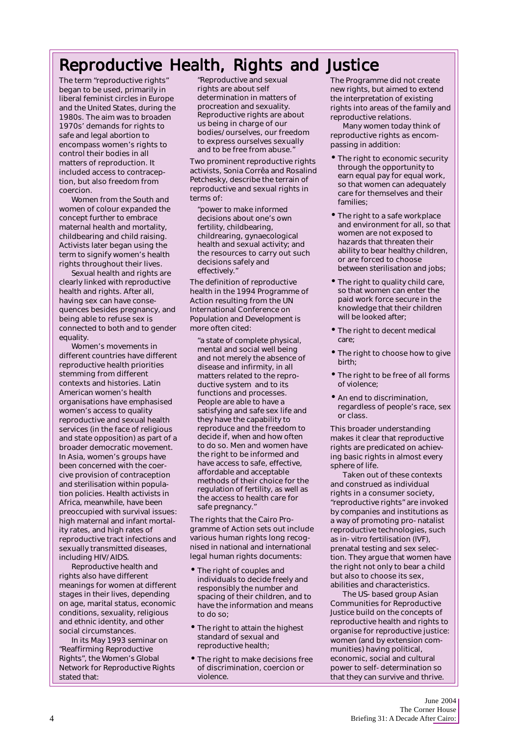# Reproductive Health, Rights and Justice

The term "reproductive rights" began to be used, primarily in liberal feminist circles in Europe and the United States, during the 1980s. The aim was to broaden 1970s' demands for rights to safe and legal abortion to encompass women's rights to control their bodies in all matters of reproduction. It included access to contraception, but also freedom from coercion.

Women from the South and women of colour expanded the concept further to embrace maternal health and mortality, childbearing and child raising. Activists later began using the term to signify women's health rights throughout their lives.

Sexual health and rights are clearly linked with reproductive health and rights. After all, having sex can have consequences besides pregnancy, and being able to refuse sex is connected to both and to gender equality.

Women's movements in different countries have different reproductive health priorities stemming from different contexts and histories. Latin American women's health organisations have emphasised women's access to quality reproductive and sexual health services (in the face of religious and state opposition) as part of a broader democratic movement. In Asia, women's groups have been concerned with the coercive provision of contraception and sterilisation within population policies. Health activists in Africa, meanwhile, have been preoccupied with survival issues: high maternal and infant mortality rates, and high rates of reproductive tract infections and sexually transmitted diseases, including HIV/AIDS.

Reproductive health and rights also have different meanings for women at different stages in their lives, depending on age, marital status, economic conditions, sexuality, religious and ethnic identity, and other social circumstances.

In its May 1993 seminar on "Reaffirming Reproductive Rights", the Women's Global Network for Reproductive Rights stated that:

"Reproductive and sexual rights are about self determination in matters of procreation and sexuality. Reproductive rights are about us being in charge of our bodies/ourselves, our freedom to express ourselves sexually and to be free from abuse."

Two prominent reproductive rights activists, Sonia Corrêa and Rosalind Petchesky, describe the terrain of reproductive and sexual rights in terms of:

"power to make informed decisions about one's own fertility, childbearing, childrearing, gynaecological health and sexual activity; and the resources to carry out such decisions safely and effectively."

The definition of reproductive health in the 1994 Programme of Action resulting from the UN International Conference on Population and Development is more often cited:

"a state of complete physical, mental and social well being and not merely the absence of disease and infirmity, in all matters related to the reproductive system and to its functions and processes. People are able to have a satisfying and safe sex life and they have the capability to reproduce and the freedom to decide if, when and how often to do so. Men and women have the right to be informed and have access to safe, effective, affordable and acceptable methods of their choice for the regulation of fertility, as well as the access to health care for safe pregnancy."

The rights that the Cairo Programme of Action sets out include various human rights long recognised in national and international legal human rights documents:

- •The right of couples and individuals to decide freely and responsibly the number and spacing of their children, and to have the information and means to do so;
- The right to attain the highest standard of sexual and reproductive health;
- •The right to make decisions free of discrimination, coercion or violence.

The Programme did not create new rights, but aimed to extend the interpretation of existing rights into areas of the family and reproductive relations.

Many women today think of reproductive rights as encompassing in addition:

- The right to economic security through the opportunity to earn equal pay for equal work, so that women can adequately care for themselves and their families;
- The right to a safe workplace and environment for all, so that women are not exposed to hazards that threaten their ability to bear healthy children, or are forced to choose between sterilisation and jobs;
- •The right to quality child care, so that women can enter the paid work force secure in the knowledge that their children will be looked after:
- •The right to decent medical care;
- The right to choose how to give birth;
- •The right to be free of all forms of violence;
- •An end to discrimination, regardless of people's race, sex or class.

This broader understanding makes it clear that reproductive rights are predicated on achieving basic rights in almost every sphere of life.

Taken out of these contexts and construed as individual rights in a consumer society, "reproductive rights" are invoked by companies and institutions as a way of promoting pro-natalist reproductive technologies, such as in-vitro fertilisation (IVF), prenatal testing and sex selection. They argue that women have the right not only to bear a child but also to choose its sex, abilities and characteristics.

The US-based group Asian Communities for Reproductive Justice build on the concepts of reproductive health and rights to organise for reproductive justice: women (and by extension communities) having political, economic, social and cultural power to self-determination so that they can survive and thrive.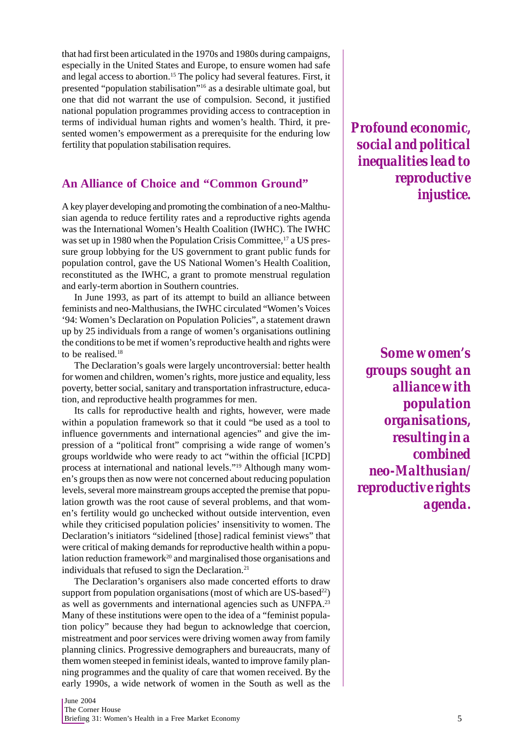that had first been articulated in the 1970s and 1980s during campaigns, especially in the United States and Europe, to ensure women had safe and legal access to abortion.15 The policy had several features. First, it presented "population stabilisation"16 as a desirable ultimate goal, but one that did not warrant the use of compulsion. Second, it justified national population programmes providing access to contraception in terms of individual human rights and women's health. Third, it presented women's empowerment as a prerequisite for the enduring low fertility that population stabilisation requires.

### **An Alliance of Choice and "Common Ground"**

A key player developing and promoting the combination of a neo-Malthusian agenda to reduce fertility rates and a reproductive rights agenda was the International Women's Health Coalition (IWHC). The IWHC was set up in 1980 when the Population Crisis Committee,<sup>17</sup> a US pressure group lobbying for the US government to grant public funds for population control, gave the US National Women's Health Coalition, reconstituted as the IWHC, a grant to promote menstrual regulation and early-term abortion in Southern countries.

In June 1993, as part of its attempt to build an alliance between feminists and neo-Malthusians, the IWHC circulated "Women's Voices '94: Women's Declaration on Population Policies", a statement drawn up by 25 individuals from a range of women's organisations outlining the conditions to be met if women's reproductive health and rights were to be realised.18

The Declaration's goals were largely uncontroversial: better health for women and children, women's rights, more justice and equality, less poverty, better social, sanitary and transportation infrastructure, education, and reproductive health programmes for men.

Its calls for reproductive health and rights, however, were made within a population framework so that it could "be used as a tool to influence governments and international agencies" and give the impression of a "political front" comprising a wide range of women's groups worldwide who were ready to act "within the official [ICPD] process at international and national levels."19 Although many women's groups then as now were not concerned about reducing population levels, several more mainstream groups accepted the premise that population growth was the root cause of several problems, and that women's fertility would go unchecked without outside intervention, even while they criticised population policies' insensitivity to women. The Declaration's initiators "sidelined [those] radical feminist views" that were critical of making demands for reproductive health within a population reduction framework<sup>20</sup> and marginalised those organisations and individuals that refused to sign the Declaration.<sup>21</sup>

The Declaration's organisers also made concerted efforts to draw support from population organisations (most of which are  $US$ -based<sup>22</sup>) as well as governments and international agencies such as UNFPA.23 Many of these institutions were open to the idea of a "feminist population policy" because they had begun to acknowledge that coercion, mistreatment and poor services were driving women away from family planning clinics. Progressive demographers and bureaucrats, many of them women steeped in feminist ideals, wanted to improve family planning programmes and the quality of care that women received. By the early 1990s, a wide network of women in the South as well as the *Profound economic, social and political inequalities lead to reproductive injustice.*

*Some women's groups sought an alliance with population organisations, resulting in a combined neo-Malthusian/ reproductive rights agenda.*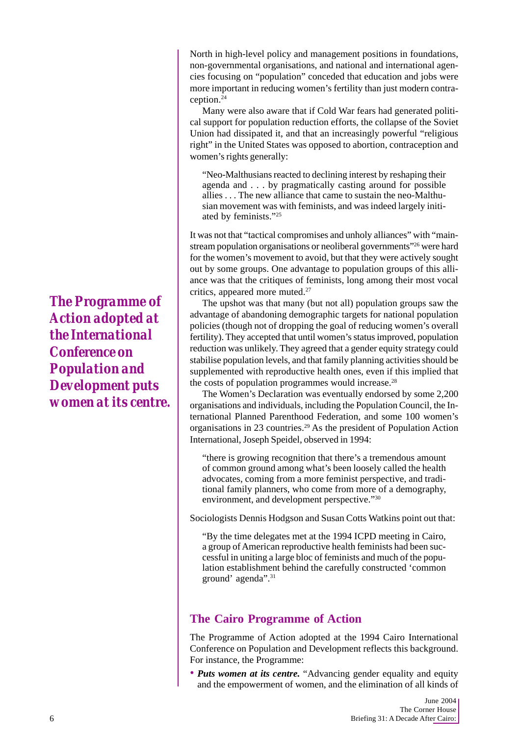North in high-level policy and management positions in foundations, non-governmental organisations, and national and international agencies focusing on "population" conceded that education and jobs were more important in reducing women's fertility than just modern contraception.24

Many were also aware that if Cold War fears had generated political support for population reduction efforts, the collapse of the Soviet Union had dissipated it, and that an increasingly powerful "religious right" in the United States was opposed to abortion, contraception and women's rights generally:

"Neo-Malthusians reacted to declining interest by reshaping their agenda and . . . by pragmatically casting around for possible allies . . . The new alliance that came to sustain the neo-Malthusian movement was with feminists, and was indeed largely initiated by feminists."25

It was not that "tactical compromises and unholy alliances" with "mainstream population organisations or neoliberal governments"26 were hard for the women's movement to avoid, but that they were actively sought out by some groups. One advantage to population groups of this alliance was that the critiques of feminists, long among their most vocal critics, appeared more muted.27

The upshot was that many (but not all) population groups saw the advantage of abandoning demographic targets for national population policies (though not of dropping the goal of reducing women's overall fertility). They accepted that until women's status improved, population reduction was unlikely. They agreed that a gender equity strategy could stabilise population levels, and that family planning activities should be supplemented with reproductive health ones, even if this implied that the costs of population programmes would increase. $^{28}$ 

The Women's Declaration was eventually endorsed by some 2,200 organisations and individuals, including the Population Council, the International Planned Parenthood Federation, and some 100 women's organisations in 23 countries.29 As the president of Population Action International, Joseph Speidel, observed in 1994:

"there is growing recognition that there's a tremendous amount of common ground among what's been loosely called the health advocates, coming from a more feminist perspective, and traditional family planners, who come from more of a demography, environment, and development perspective."30

Sociologists Dennis Hodgson and Susan Cotts Watkins point out that:

"By the time delegates met at the 1994 ICPD meeting in Cairo, a group of American reproductive health feminists had been successful in uniting a large bloc of feminists and much of the population establishment behind the carefully constructed 'common ground' agenda".<sup>31</sup>

### **The Cairo Programme of Action**

The Programme of Action adopted at the 1994 Cairo International Conference on Population and Development reflects this background. For instance, the Programme:

• *Puts women at its centre.* "Advancing gender equality and equity and the empowerment of women, and the elimination of all kinds of

*The Programme of Action adopted at the International Conference on Population and Development puts women at its centre.*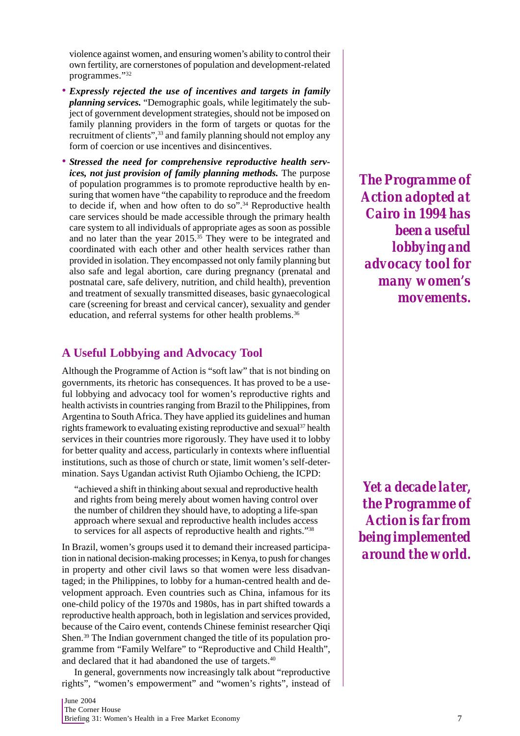violence against women, and ensuring women's ability to control their own fertility, are cornerstones of population and development-related programmes."32

- *Expressly rejected the use of incentives and targets in family planning services.* "Demographic goals, while legitimately the subject of government development strategies, should not be imposed on family planning providers in the form of targets or quotas for the recruitment of clients",<sup>33</sup> and family planning should not employ any form of coercion or use incentives and disincentives.
- *Stressed the need for comprehensive reproductive health services, not just provision of family planning methods.* The purpose of population programmes is to promote reproductive health by ensuring that women have "the capability to reproduce and the freedom to decide if, when and how often to do so".<sup>34</sup> Reproductive health care services should be made accessible through the primary health care system to all individuals of appropriate ages as soon as possible and no later than the year 2015.<sup>35</sup> They were to be integrated and coordinated with each other and other health services rather than provided in isolation. They encompassed not only family planning but also safe and legal abortion, care during pregnancy (prenatal and postnatal care, safe delivery, nutrition, and child health), prevention and treatment of sexually transmitted diseases, basic gynaecological care (screening for breast and cervical cancer), sexuality and gender education, and referral systems for other health problems.<sup>36</sup>

### **A Useful Lobbying and Advocacy Tool**

Although the Programme of Action is "soft law" that is not binding on governments, its rhetoric has consequences. It has proved to be a useful lobbying and advocacy tool for women's reproductive rights and health activists in countries ranging from Brazil to the Philippines, from Argentina to South Africa. They have applied its guidelines and human rights framework to evaluating existing reproductive and sexual<sup>37</sup> health services in their countries more rigorously. They have used it to lobby for better quality and access, particularly in contexts where influential institutions, such as those of church or state, limit women's self-determination. Says Ugandan activist Ruth Ojiambo Ochieng, the ICPD:

"achieved a shift in thinking about sexual and reproductive health and rights from being merely about women having control over the number of children they should have, to adopting a life-span approach where sexual and reproductive health includes access to services for all aspects of reproductive health and rights."38

In Brazil, women's groups used it to demand their increased participation in national decision-making processes; in Kenya, to push for changes in property and other civil laws so that women were less disadvantaged; in the Philippines, to lobby for a human-centred health and development approach. Even countries such as China, infamous for its one-child policy of the 1970s and 1980s, has in part shifted towards a reproductive health approach, both in legislation and services provided, because of the Cairo event, contends Chinese feminist researcher Qiqi Shen.39 The Indian government changed the title of its population programme from "Family Welfare" to "Reproductive and Child Health", and declared that it had abandoned the use of targets.<sup>40</sup>

In general, governments now increasingly talk about "reproductive rights", "women's empowerment" and "women's rights", instead of *The Programme of Action adopted at Cairo in 1994 has been a useful lobbying and advocacy tool for many women's movements.*

*Yet a decade later, the Programme of Action is far from being implemented around the world.*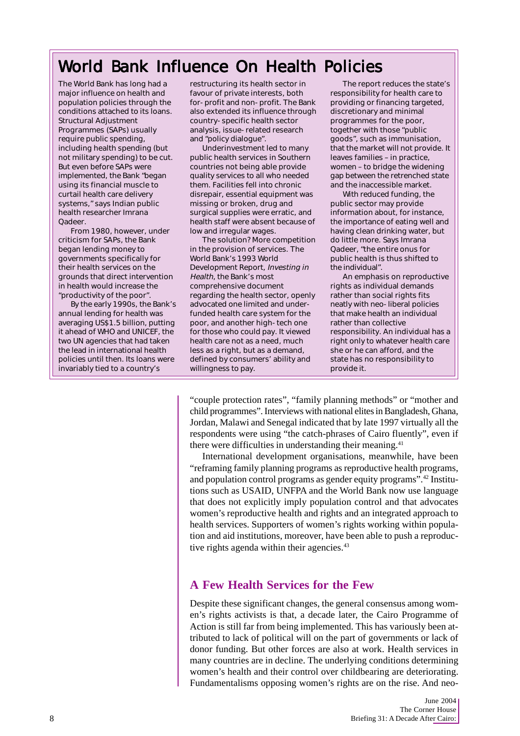## World Bank Influence On Health Policies

The World Bank has long had a major influence on health and population policies through the conditions attached to its loans. Structural Adjustment Programmes (SAPs) usually require public spending, including health spending (but not military spending) to be cut. But even before SAPs were implemented, the Bank "began using its financial muscle to curtail health care delivery systems," says Indian public health researcher Imrana Qadeer.

From 1980, however, under criticism for SAPs, the Bank began lending money to governments specifically for their health services on the grounds that direct intervention in health would increase the "productivity of the poor".

By the early 1990s, the Bank's annual lending for health was averaging US\$1.5 billion, putting it ahead of WHO and UNICEF, the two UN agencies that had taken the lead in international health policies until then. Its loans were invariably tied to a country's

restructuring its health sector in favour of private interests, both for-profit and non-profit. The Bank also extended its influence through country-specific health sector analysis, issue-related research and "policy dialogue".

Underinvestment led to many public health services in Southern countries not being able provide quality services to all who needed them. Facilities fell into chronic disrepair, essential equipment was missing or broken, drug and surgical supplies were erratic, and health staff were absent because of low and irregular wages.

The solution? More competition in the provision of services. The World Bank's 1993 World Development Report, Investing in Health, the Bank's most comprehensive document regarding the health sector, openly advocated one limited and underfunded health care system for the poor, and another high-tech one for those who could pay. It viewed health care not as a need, much less as a right, but as a demand, defined by consumers' ability and willingness to pay.

The report reduces the state's responsibility for health care to providing or financing targeted, discretionary and minimal programmes for the poor, together with those "public goods", such as immunisation, that the market will not provide. It leaves families – in practice, women – to bridge the widening gap between the retrenched state and the inaccessible market.

With reduced funding, the public sector may provide information about, for instance, the importance of eating well and having clean drinking water, but do little more. Says Imrana Qadeer, "the entire onus for public health is thus shifted to the individual".

An emphasis on reproductive rights as individual demands rather than social rights fits neatly with neo-liberal policies that make health an individual rather than collective responsibility. An individual has a right only to whatever health care she or he can afford, and the state has no responsibility to provide it.

"couple protection rates", "family planning methods" or "mother and child programmes". Interviews with national elites in Bangladesh, Ghana, Jordan, Malawi and Senegal indicated that by late 1997 virtually all the respondents were using "the catch-phrases of Cairo fluently", even if there were difficulties in understanding their meaning.<sup>41</sup>

International development organisations, meanwhile, have been "reframing family planning programs as reproductive health programs, and population control programs as gender equity programs".42 Institutions such as USAID, UNFPA and the World Bank now use language that does not explicitly imply population control and that advocates women's reproductive health and rights and an integrated approach to health services. Supporters of women's rights working within population and aid institutions, moreover, have been able to push a reproductive rights agenda within their agencies.<sup>43</sup>

#### **A Few Health Services for the Few**

Despite these significant changes, the general consensus among women's rights activists is that, a decade later, the Cairo Programme of Action is still far from being implemented. This has variously been attributed to lack of political will on the part of governments or lack of donor funding. But other forces are also at work. Health services in many countries are in decline. The underlying conditions determining women's health and their control over childbearing are deteriorating. Fundamentalisms opposing women's rights are on the rise. And neo-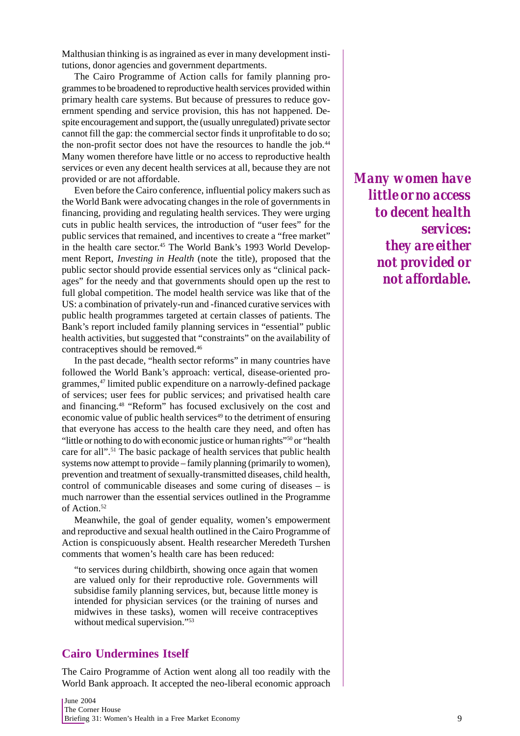Malthusian thinking is as ingrained as ever in many development institutions, donor agencies and government departments.

The Cairo Programme of Action calls for family planning programmes to be broadened to reproductive health services provided within primary health care systems. But because of pressures to reduce government spending and service provision, this has not happened. Despite encouragement and support, the (usually unregulated) private sector cannot fill the gap: the commercial sector finds it unprofitable to do so; the non-profit sector does not have the resources to handle the job.<sup>44</sup> Many women therefore have little or no access to reproductive health services or even any decent health services at all, because they are not provided or are not affordable.

Even before the Cairo conference, influential policy makers such as the World Bank were advocating changes in the role of governments in financing, providing and regulating health services. They were urging cuts in public health services, the introduction of "user fees" for the public services that remained, and incentives to create a "free market" in the health care sector.<sup>45</sup> The World Bank's 1993 World Development Report, *Investing in Health* (note the title), proposed that the public sector should provide essential services only as "clinical packages" for the needy and that governments should open up the rest to full global competition. The model health service was like that of the US: a combination of privately-run and -financed curative services with public health programmes targeted at certain classes of patients. The Bank's report included family planning services in "essential" public health activities, but suggested that "constraints" on the availability of contraceptives should be removed.46

In the past decade, "health sector reforms" in many countries have followed the World Bank's approach: vertical, disease-oriented programmes,47 limited public expenditure on a narrowly-defined package of services; user fees for public services; and privatised health care and financing.48 "Reform" has focused exclusively on the cost and economic value of public health services<sup>49</sup> to the detriment of ensuring that everyone has access to the health care they need, and often has "little or nothing to do with economic justice or human rights"50 or "health care for all".51 The basic package of health services that public health systems now attempt to provide – family planning (primarily to women), prevention and treatment of sexually-transmitted diseases, child health, control of communicable diseases and some curing of diseases – is much narrower than the essential services outlined in the Programme of Action.52

Meanwhile, the goal of gender equality, women's empowerment and reproductive and sexual health outlined in the Cairo Programme of Action is conspicuously absent. Health researcher Meredeth Turshen comments that women's health care has been reduced:

"to services during childbirth, showing once again that women are valued only for their reproductive role. Governments will subsidise family planning services, but, because little money is intended for physician services (or the training of nurses and midwives in these tasks), women will receive contraceptives without medical supervision."<sup>53</sup>

#### **Cairo Undermines Itself**

The Cairo Programme of Action went along all too readily with the World Bank approach. It accepted the neo-liberal economic approach *Many women have little or no access to decent health services: they are either not provided or not affordable.*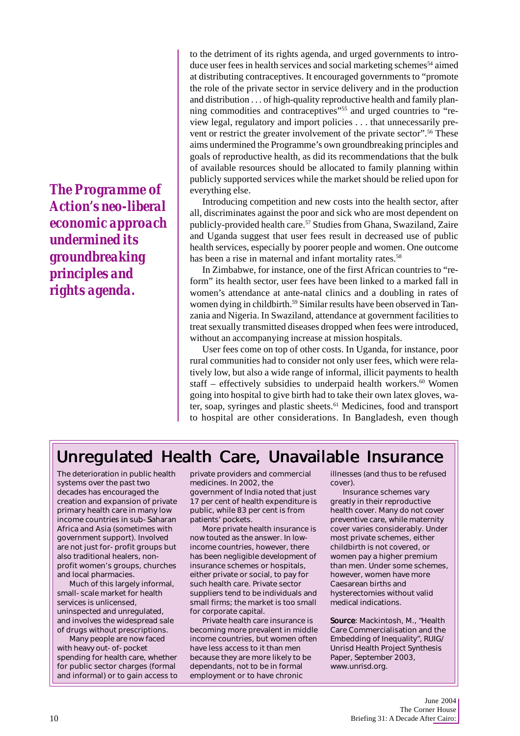*The Programme of Action's neo-liberal economic approach undermined its groundbreaking principles and rights agenda.*

to the detriment of its rights agenda, and urged governments to introduce user fees in health services and social marketing schemes<sup>54</sup> aimed at distributing contraceptives. It encouraged governments to "promote the role of the private sector in service delivery and in the production and distribution . . . of high-quality reproductive health and family planning commodities and contraceptives"55 and urged countries to "review legal, regulatory and import policies . . . that unnecessarily prevent or restrict the greater involvement of the private sector".56 These aims undermined the Programme's own groundbreaking principles and goals of reproductive health, as did its recommendations that the bulk of available resources should be allocated to family planning within publicly supported services while the market should be relied upon for everything else.

Introducing competition and new costs into the health sector, after all, discriminates against the poor and sick who are most dependent on publicly-provided health care.57 Studies from Ghana, Swaziland, Zaire and Uganda suggest that user fees result in decreased use of public health services, especially by poorer people and women. One outcome has been a rise in maternal and infant mortality rates.<sup>58</sup>

In Zimbabwe, for instance, one of the first African countries to "reform" its health sector, user fees have been linked to a marked fall in women's attendance at ante-natal clinics and a doubling in rates of women dying in childbirth.59 Similar results have been observed in Tanzania and Nigeria. In Swaziland, attendance at government facilities to treat sexually transmitted diseases dropped when fees were introduced, without an accompanying increase at mission hospitals.

User fees come on top of other costs. In Uganda, for instance, poor rural communities had to consider not only user fees, which were relatively low, but also a wide range of informal, illicit payments to health staff – effectively subsidies to underpaid health workers. $60$  Women going into hospital to give birth had to take their own latex gloves, water, soap, syringes and plastic sheets.<sup>61</sup> Medicines, food and transport to hospital are other considerations. In Bangladesh, even though

## Unregulated Health Care, Unavailable Insurance

The deterioration in public health systems over the past two decades has encouraged the creation and expansion of private primary health care in many low income countries in sub-Saharan Africa and Asia (sometimes with government support). Involved are not just for-profit groups but also traditional healers, nonprofit women's groups, churches and local pharmacies.

Much of this largely informal, small-scale market for health services is unlicensed, uninspected and unregulated, and involves the widespread sale of drugs without prescriptions.

Many people are now faced with heavy out-of-pocket spending for health care, whether for public sector charges (formal and informal) or to gain access to

private providers and commercial medicines. In 2002, the government of India noted that just 17 per cent of health expenditure is public, while 83 per cent is from patients' pockets.

More private health insurance is now touted as the answer. In lowincome countries, however, there has been negligible development of insurance schemes or hospitals, either private or social, to pay for such health care. Private sector suppliers tend to be individuals and small firms; the market is too small for corporate capital.

Private health care insurance is becoming more prevalent in middle income countries, but women often have less access to it than men because they are more likely to be dependants, not to be in formal employment or to have chronic

illnesses (and thus to be refused cover).

Insurance schemes vary greatly in their reproductive health cover. Many do not cover preventive care, while maternity cover varies considerably. Under most private schemes, either childbirth is not covered, or women pay a higher premium than men. Under some schemes, however, women have more Caesarean births and hysterectomies without valid medical indications.

Source: Mackintosh, M., "Health Care Commercialisation and the Embedding of Inequality", RUIG/ Unrisd Health Project Synthesis Paper, September 2003, www.unrisd.org.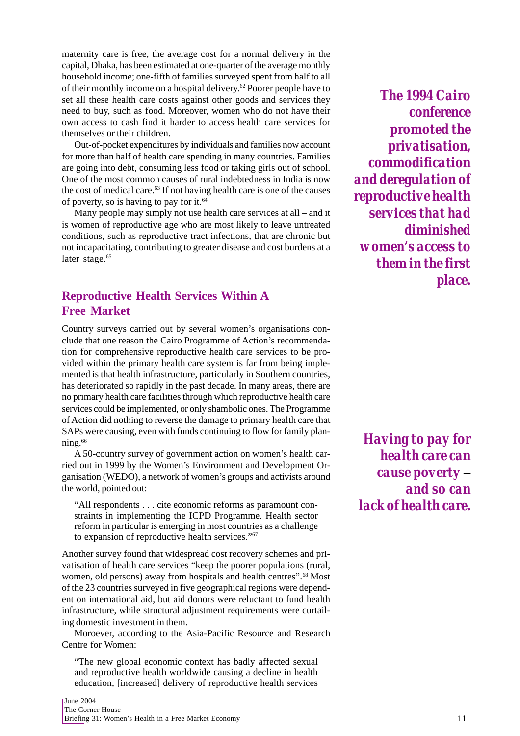maternity care is free, the average cost for a normal delivery in the capital, Dhaka, has been estimated at one-quarter of the average monthly household income; one-fifth of families surveyed spent from half to all of their monthly income on a hospital delivery.62 Poorer people have to set all these health care costs against other goods and services they need to buy, such as food. Moreover, women who do not have their own access to cash find it harder to access health care services for themselves or their children.

Out-of-pocket expenditures by individuals and families now account for more than half of health care spending in many countries. Families are going into debt, consuming less food or taking girls out of school. One of the most common causes of rural indebtedness in India is now the cost of medical care.<sup>63</sup> If not having health care is one of the causes of poverty, so is having to pay for it.64

Many people may simply not use health care services at all – and it is women of reproductive age who are most likely to leave untreated conditions, such as reproductive tract infections, that are chronic but not incapacitating, contributing to greater disease and cost burdens at a later stage.<sup>65</sup>

### **Reproductive Health Services Within A Free Market**

Country surveys carried out by several women's organisations conclude that one reason the Cairo Programme of Action's recommendation for comprehensive reproductive health care services to be provided within the primary health care system is far from being implemented is that health infrastructure, particularly in Southern countries, has deteriorated so rapidly in the past decade. In many areas, there are no primary health care facilities through which reproductive health care services could be implemented, or only shambolic ones. The Programme of Action did nothing to reverse the damage to primary health care that SAPs were causing, even with funds continuing to flow for family planning.66

A 50-country survey of government action on women's health carried out in 1999 by the Women's Environment and Development Organisation (WEDO), a network of women's groups and activists around the world, pointed out:

"All respondents . . . cite economic reforms as paramount constraints in implementing the ICPD Programme. Health sector reform in particular is emerging in most countries as a challenge to expansion of reproductive health services."67

Another survey found that widespread cost recovery schemes and privatisation of health care services "keep the poorer populations (rural, women, old persons) away from hospitals and health centres".<sup>68</sup> Most of the 23 countries surveyed in five geographical regions were dependent on international aid, but aid donors were reluctant to fund health infrastructure, while structural adjustment requirements were curtailing domestic investment in them.

Moroever, according to the Asia-Pacific Resource and Research Centre for Women:

"The new global economic context has badly affected sexual and reproductive health worldwide causing a decline in health education, [increased] delivery of reproductive health services

June 2004 The Corner House

*The 1994 Cairo conference promoted the privatisation, commodification and deregulation of reproductive health services that had diminished women's access to them in the first place.*

*Having to pay for health care can cause poverty – and so can lack of health care.*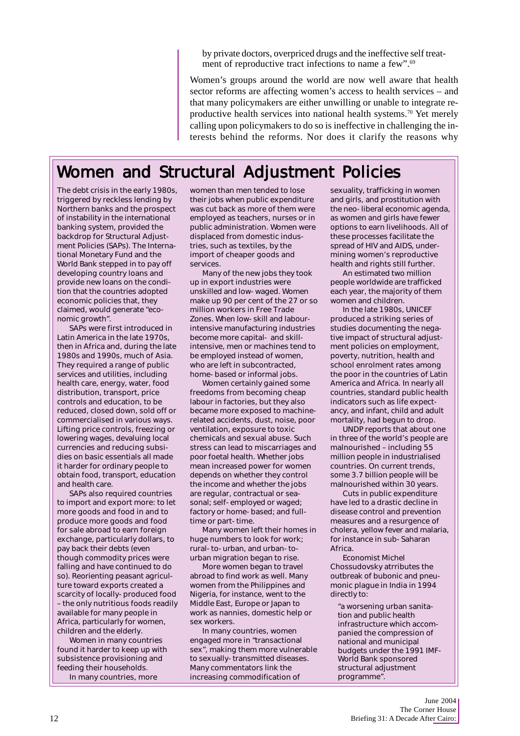by private doctors, overpriced drugs and the ineffective self treatment of reproductive tract infections to name a few".<sup>69</sup>

Women's groups around the world are now well aware that health sector reforms are affecting women's access to health services – and that many policymakers are either unwilling or unable to integrate reproductive health services into national health systems.70 Yet merely calling upon policymakers to do so is ineffective in challenging the interests behind the reforms. Nor does it clarify the reasons why

# Women and Structural Adjustment Policies

The debt crisis in the early 1980s, triggered by reckless lending by Northern banks and the prospect of instability in the international banking system, provided the backdrop for Structural Adjustment Policies (SAPs). The International Monetary Fund and the World Bank stepped in to pay off developing country loans and provide new loans on the condition that the countries adopted economic policies that, they claimed, would generate "economic growth".

SAPs were first introduced in Latin America in the late 1970s, then in Africa and, during the late 1980s and 1990s, much of Asia. They required a range of public services and utilities, including health care, energy, water, food distribution, transport, price controls and education, to be reduced, closed down, sold off or commercialised in various ways. Lifting price controls, freezing or lowering wages, devaluing local currencies and reducing subsidies on basic essentials all made it harder for ordinary people to obtain food, transport, education and health care.

SAPs also required countries to import and export more: to let more goods and food in and to produce more goods and food for sale abroad to earn foreign exchange, particularly dollars, to pay back their debts (even though commodity prices were falling and have continued to do so). Reorienting peasant agriculture toward exports created a scarcity of locally-produced food – the only nutritious foods readily available for many people in Africa, particularly for women, children and the elderly.

Women in many countries found it harder to keep up with subsistence provisioning and feeding their households. In many countries, more

women than men tended to lose their jobs when public expenditure was cut back as more of them were employed as teachers, nurses or in public administration. Women were displaced from domestic industries, such as textiles, by the import of cheaper goods and services.

Many of the new jobs they took up in export industries were unskilled and low-waged. Women make up 90 per cent of the 27 or so million workers in Free Trade Zones. When low-skill and labourintensive manufacturing industries become more capital- and skillintensive, men or machines tend to be employed instead of women, who are left in subcontracted, home-based or informal jobs.

Women certainly gained some freedoms from becoming cheap labour in factories, but they also became more exposed to machinerelated accidents, dust, noise, poor ventilation, exposure to toxic chemicals and sexual abuse. Such stress can lead to miscarriages and poor foetal health. Whether jobs mean increased power for women depends on whether they control the income and whether the jobs are regular, contractual or seasonal; self-employed or waged; factory or home-based; and fulltime or part-time.

Many women left their homes in huge numbers to look for work; rural-to-urban, and urban-tourban migration began to rise.

More women began to travel abroad to find work as well. Many women from the Philippines and Nigeria, for instance, went to the Middle East, Europe or Japan to work as nannies, domestic help or sex workers.

In many countries, women engaged more in "transactional sex", making them more vulnerable to sexually-transmitted diseases. Many commentators link the increasing commodification of

sexuality, trafficking in women and girls, and prostitution with the neo-liberal economic agenda, as women and girls have fewer options to earn livelihoods. All of these processes facilitate the spread of HIV and AIDS, undermining women's reproductive health and rights still further.

An estimated two million people worldwide are trafficked each year, the majority of them women and children.

In the late 1980s, UNICEF produced a striking series of studies documenting the negative impact of structural adjustment policies on employment, poverty, nutrition, health and school enrolment rates among the poor in the countries of Latin America and Africa. In nearly all countries, standard public health indicators such as life expectancy, and infant, child and adult mortality, had begun to drop.

UNDP reports that about one in three of the world's people are malnourished – including 55 million people in industrialised countries. On current trends, some 3.7 billion people will be malnourished within 30 years.

Cuts in public expenditure have led to a drastic decline in disease control and prevention measures and a resurgence of cholera, yellow fever and malaria, for instance in sub-Saharan Africa.

Economist Michel Chossudovsky atrributes the outbreak of bubonic and pneumonic plague in India in 1994 directly to:

"a worsening urban sanitation and public health infrastructure which accompanied the compression of national and municipal budgets under the 1991 IMF-World Bank sponsored structural adjustment programme".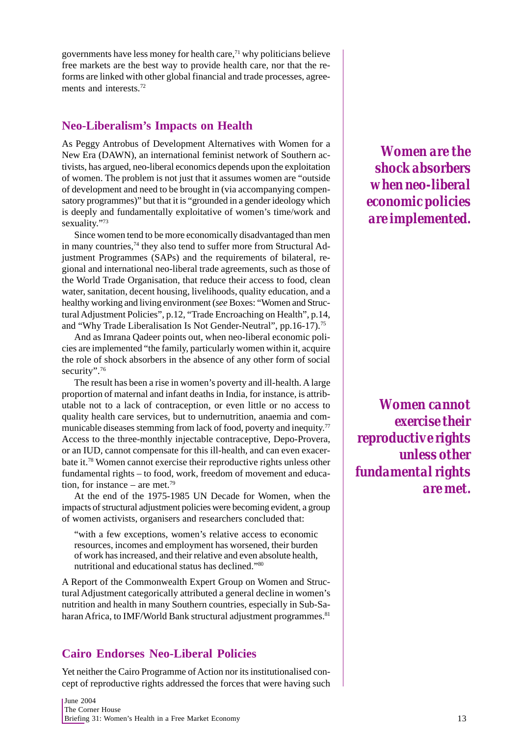governments have less money for health care, $<sup>71</sup>$  why politicians believe</sup> free markets are the best way to provide health care, nor that the reforms are linked with other global financial and trade processes, agreements and interests.<sup>72</sup>

### **Neo-Liberalism's Impacts on Health**

As Peggy Antrobus of Development Alternatives with Women for a New Era (DAWN), an international feminist network of Southern activists, has argued, neo-liberal economics depends upon the exploitation of women. The problem is not just that it assumes women are "outside of development and need to be brought in (via accompanying compensatory programmes)" but that it is "grounded in a gender ideology which is deeply and fundamentally exploitative of women's time/work and sexuality."73

Since women tend to be more economically disadvantaged than men in many countries,<sup>74</sup> they also tend to suffer more from Structural Adjustment Programmes (SAPs) and the requirements of bilateral, regional and international neo-liberal trade agreements, such as those of the World Trade Organisation, that reduce their access to food, clean water, sanitation, decent housing, livelihoods, quality education, and a healthy working and living environment (*see* Boxes: "Women and Structural Adjustment Policies", p.12, "Trade Encroaching on Health", p.14, and "Why Trade Liberalisation Is Not Gender-Neutral", pp.16-17).75

And as Imrana Qadeer points out, when neo-liberal economic policies are implemented "the family, particularly women within it, acquire the role of shock absorbers in the absence of any other form of social security".<sup>76</sup>

The result has been a rise in women's poverty and ill-health. A large proportion of maternal and infant deaths in India, for instance, is attributable not to a lack of contraception, or even little or no access to quality health care services, but to undernutrition, anaemia and communicable diseases stemming from lack of food, poverty and inequity.<sup>77</sup> Access to the three-monthly injectable contraceptive, Depo-Provera, or an IUD, cannot compensate for this ill-health, and can even exacerbate it.78 Women cannot exercise their reproductive rights unless other fundamental rights – to food, work, freedom of movement and education, for instance – are met.<sup>79</sup>

At the end of the 1975-1985 UN Decade for Women, when the impacts of structural adjustment policies were becoming evident, a group of women activists, organisers and researchers concluded that:

"with a few exceptions, women's relative access to economic resources, incomes and employment has worsened, their burden of work has increased, and their relative and even absolute health, nutritional and educational status has declined."80

A Report of the Commonwealth Expert Group on Women and Structural Adjustment categorically attributed a general decline in women's nutrition and health in many Southern countries, especially in Sub-Saharan Africa, to IMF/World Bank structural adjustment programmes.<sup>81</sup>

### **Cairo Endorses Neo-Liberal Policies**

Yet neither the Cairo Programme of Action nor its institutionalised concept of reproductive rights addressed the forces that were having such

*Women are the shock absorbers when neo-liberal economic policies are implemented.*

*Women cannot exercise their reproductive rights unless other fundamental rights are met.*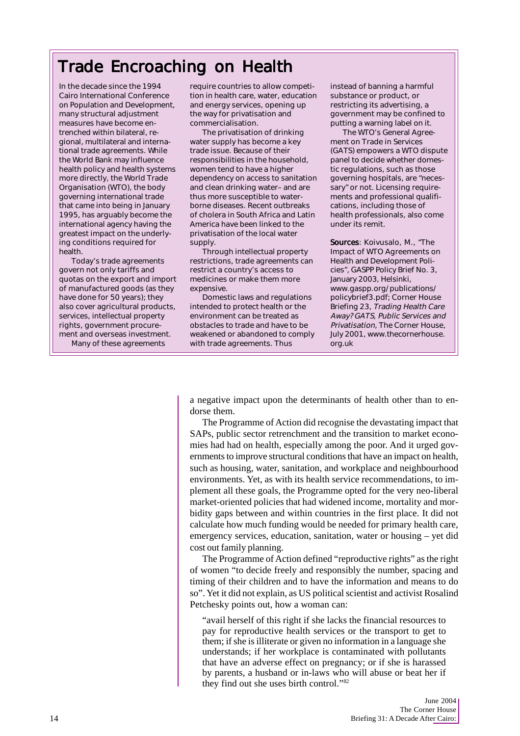## Trade Encroaching on Health

In the decade since the 1994 Cairo International Conference on Population and Development, many structural adjustment measures have become entrenched within bilateral, regional, multilateral and international trade agreements. While the World Bank may influence health policy and health systems more directly, the World Trade Organisation (WTO), the body governing international trade that came into being in January 1995, has arguably become the international agency having the greatest impact on the underlying conditions required for health.

Today's trade agreements govern not only tariffs and quotas on the export and import of manufactured goods (as they have done for 50 years); they also cover agricultural products, services, intellectual property rights, government procurement and overseas investment. Many of these agreements

require countries to allow competition in health care, water, education and energy services, opening up the way for privatisation and commercialisation.

The privatisation of drinking water supply has become a key trade issue. Because of their responsibilities in the household, women tend to have a higher dependency on access to sanitation and clean drinking water– and are thus more susceptible to waterborne diseases. Recent outbreaks of cholera in South Africa and Latin America have been linked to the privatisation of the local water supply.

Through intellectual property restrictions, trade agreements can restrict a country's access to medicines or make them more expensive.

Domestic laws and regulations intended to protect health or the environment can be treated as obstacles to trade and have to be weakened or abandoned to comply with trade agreements. Thus

instead of banning a harmful substance or product, or restricting its advertising, a government may be confined to putting a warning label on it.

The WTO's General Agreement on Trade in Services (GATS) empowers a WTO dispute panel to decide whether domestic regulations, such as those governing hospitals, are "necessary" or not. Licensing requirements and professional qualifications, including those of health professionals, also come under its remit.

Sources: Koivusalo, M., "The Impact of WTO Agreements on Health and Development Policies", GASPP Policy Brief No. 3, January 2003, Helsinki, www.gaspp.org/publications/ policybrief3.pdf; Corner House Briefing 23, Trading Health Care Away? GATS, Public Services and Privatisation, The Corner House, July 2001, www.thecornerhouse. org.uk

a negative impact upon the determinants of health other than to endorse them.

The Programme of Action did recognise the devastating impact that SAPs, public sector retrenchment and the transition to market economies had had on health, especially among the poor. And it urged governments to improve structural conditions that have an impact on health, such as housing, water, sanitation, and workplace and neighbourhood environments. Yet, as with its health service recommendations, to implement all these goals, the Programme opted for the very neo-liberal market-oriented policies that had widened income, mortality and morbidity gaps between and within countries in the first place. It did not calculate how much funding would be needed for primary health care, emergency services, education, sanitation, water or housing – yet did cost out family planning.

The Programme of Action defined "reproductive rights" as the right of women "to decide freely and responsibly the number, spacing and timing of their children and to have the information and means to do so". Yet it did not explain, as US political scientist and activist Rosalind Petchesky points out, how a woman can:

"avail herself of this right if she lacks the financial resources to pay for reproductive health services or the transport to get to them; if she is illiterate or given no information in a language she understands; if her workplace is contaminated with pollutants that have an adverse effect on pregnancy; or if she is harassed by parents, a husband or in-laws who will abuse or beat her if they find out she uses birth control."82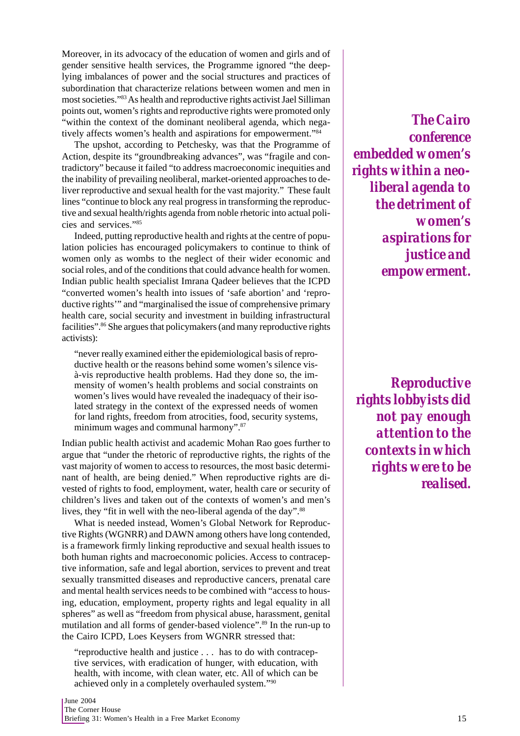Moreover, in its advocacy of the education of women and girls and of gender sensitive health services, the Programme ignored "the deeplying imbalances of power and the social structures and practices of subordination that characterize relations between women and men in most societies."83 As health and reproductive rights activist Jael Silliman points out, women's rights and reproductive rights were promoted only "within the context of the dominant neoliberal agenda, which negatively affects women's health and aspirations for empowerment."84

The upshot, according to Petchesky, was that the Programme of Action, despite its "groundbreaking advances", was "fragile and contradictory" because it failed "to address macroeconomic inequities and the inability of prevailing neoliberal, market-oriented approaches to deliver reproductive and sexual health for the vast majority." These fault lines "continue to block any real progress in transforming the reproductive and sexual health/rights agenda from noble rhetoric into actual policies and services."85

Indeed, putting reproductive health and rights at the centre of population policies has encouraged policymakers to continue to think of women only as wombs to the neglect of their wider economic and social roles, and of the conditions that could advance health for women. Indian public health specialist Imrana Qadeer believes that the ICPD "converted women's health into issues of 'safe abortion' and 'reproductive rights'" and "marginalised the issue of comprehensive primary health care, social security and investment in building infrastructural facilities".<sup>86</sup> She argues that policymakers (and many reproductive rights activists):

"never really examined either the epidemiological basis of reproductive health or the reasons behind some women's silence visà-vis reproductive health problems. Had they done so, the immensity of women's health problems and social constraints on women's lives would have revealed the inadequacy of their isolated strategy in the context of the expressed needs of women for land rights, freedom from atrocities, food, security systems, minimum wages and communal harmony".<sup>87</sup>

Indian public health activist and academic Mohan Rao goes further to argue that "under the rhetoric of reproductive rights, the rights of the vast majority of women to access to resources, the most basic determinant of health, are being denied." When reproductive rights are divested of rights to food, employment, water, health care or security of children's lives and taken out of the contexts of women's and men's lives, they "fit in well with the neo-liberal agenda of the day".<sup>88</sup>

What is needed instead, Women's Global Network for Reproductive Rights (WGNRR) and DAWN among others have long contended, is a framework firmly linking reproductive and sexual health issues to both human rights and macroeconomic policies. Access to contraceptive information, safe and legal abortion, services to prevent and treat sexually transmitted diseases and reproductive cancers, prenatal care and mental health services needs to be combined with "access to housing, education, employment, property rights and legal equality in all spheres" as well as "freedom from physical abuse, harassment, genital mutilation and all forms of gender-based violence".<sup>89</sup> In the run-up to the Cairo ICPD, Loes Keysers from WGNRR stressed that:

"reproductive health and justice . . . has to do with contraceptive services, with eradication of hunger, with education, with health, with income, with clean water, etc. All of which can be achieved only in a completely overhauled system."90

*The Cairo conference embedded women's rights within a neoliberal agenda to the detriment of women's aspirations for justice and empowerment.*

*Reproductive rights lobbyists did not pay enough attention to the contexts in which rights were to be realised.*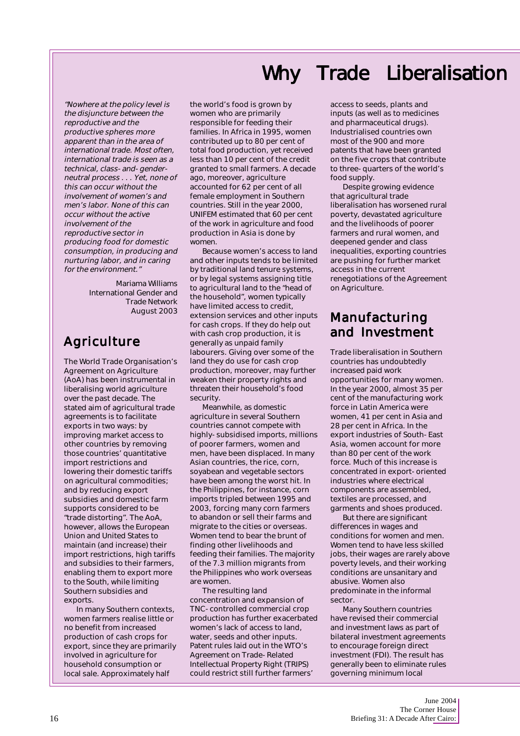# Why Trade Liberalisation

"Nowhere at the policy level is the disjuncture between the reproductive and the productive spheres more apparent than in the area of international trade. Most often, international trade is seen as a technical, class-and-genderneutral process . . . Yet, none of this can occur without the involvement of women's and men's labor. None of this can occur without the active involvement of the reproductive sector in producing food for domestic consumption, in producing and nurturing labor, and in caring for the environment."

> Mariama Williams International Gender and Trade Network August 2003

### **Agriculture**

The World Trade Organisation's Agreement on Agriculture (AoA) has been instrumental in liberalising world agriculture over the past decade. The stated aim of agricultural trade agreements is to facilitate exports in two ways: by improving market access to other countries by removing those countries' quantitative import restrictions and lowering their domestic tariffs on agricultural commodities; and by reducing export subsidies and domestic farm supports considered to be "trade distorting". The AoA, however, allows the European Union and United States to maintain (and increase) their import restrictions, high tariffs and subsidies to their farmers, enabling them to export more to the South, while limiting Southern subsidies and exports.

In many Southern contexts, women farmers realise little or no benefit from increased production of cash crops for export, since they are primarily involved in agriculture for household consumption or local sale. Approximately half

the world's food is grown by women who are primarily responsible for feeding their families. In Africa in 1995, women contributed up to 80 per cent of total food production, yet received less than 10 per cent of the credit granted to small farmers. A decade ago, moreover, agriculture accounted for 62 per cent of all female employment in Southern countries. Still in the year 2000, UNIFEM estimated that 60 per cent of the work in agriculture and food production in Asia is done by women.

Because women's access to land and other inputs tends to be limited by traditional land tenure systems, or by legal systems assigning title to agricultural land to the "head of the household", women typically have limited access to credit, extension services and other inputs for cash crops. If they do help out with cash crop production, it is generally as unpaid family labourers. Giving over some of the land they do use for cash crop production, moreover, may further weaken their property rights and threaten their household's food security.

Meanwhile, as domestic agriculture in several Southern countries cannot compete with highly-subsidised imports, millions of poorer farmers, women and men, have been displaced. In many Asian countries, the rice, corn, soyabean and vegetable sectors have been among the worst hit. In the Philippines, for instance, corn imports tripled between 1995 and 2003, forcing many corn farmers to abandon or sell their farms and migrate to the cities or overseas. Women tend to bear the brunt of finding other livelihoods and feeding their families. The majority of the 7.3 million migrants from the Philippines who work overseas are women.

The resulting land concentration and expansion of TNC-controlled commercial crop production has further exacerbated women's lack of access to land, water, seeds and other inputs. Patent rules laid out in the WTO's Agreement on Trade-Related Intellectual Property Right (TRIPS) could restrict still further farmers'

access to seeds, plants and inputs (as well as to medicines and pharmaceutical drugs). Industrialised countries own most of the 900 and more patents that have been granted on the five crops that contribute to three-quarters of the world's food supply.

Despite growing evidence that agricultural trade liberalisation has worsened rural poverty, devastated agriculture and the livelihoods of poorer farmers and rural women, and deepened gender and class inequalities, exporting countries are pushing for further market access in the current renegotiations of the Agreement on Agriculture.

### Manufacturing and Investment

Trade liberalisation in Southern countries has undoubtedly increased paid work opportunities for many women. In the year 2000, almost 35 per cent of the manufacturing work force in Latin America were women, 41 per cent in Asia and 28 per cent in Africa. In the export industries of South-East Asia, women account for more than 80 per cent of the work force. Much of this increase is concentrated in export-oriented industries where electrical components are assembled, textiles are processed, and garments and shoes produced.

But there are significant differences in wages and conditions for women and men. Women tend to have less skilled jobs, their wages are rarely above poverty levels, and their working conditions are unsanitary and abusive. Women also predominate in the informal sector.

Many Southern countries have revised their commercial and investment laws as part of bilateral investment agreements to encourage foreign direct investment (FDI). The result has generally been to eliminate rules governing minimum local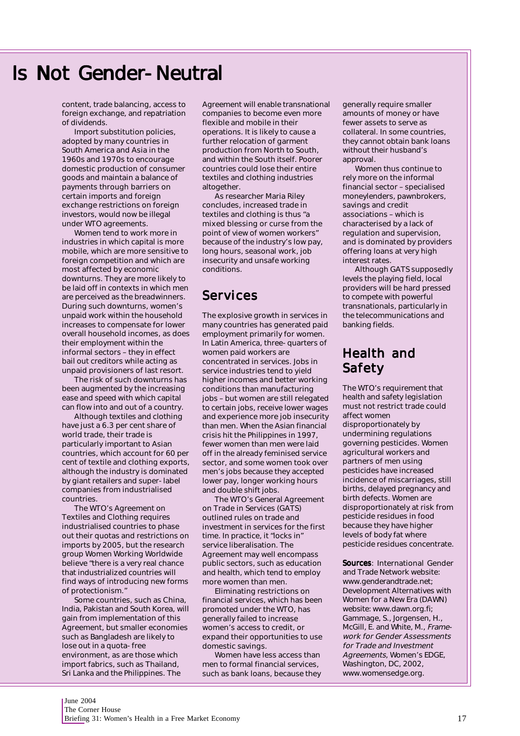# **Is Not Gender-Neutral**

content, trade balancing, access to foreign exchange, and repatriation of dividends.

Import substitution policies, adopted by many countries in South America and Asia in the 1960s and 1970s to encourage domestic production of consumer goods and maintain a balance of payments through barriers on certain imports and foreign exchange restrictions on foreign investors, would now be illegal under WTO agreements.

Women tend to work more in industries in which capital is more mobile, which are more sensitive to foreign competition and which are most affected by economic downturns. They are more likely to be laid off in contexts in which men are perceived as the breadwinners. During such downturns, women's unpaid work within the household increases to compensate for lower overall household incomes, as does their employment within the informal sectors – they in effect bail out creditors while acting as unpaid provisioners of last resort.

The risk of such downturns has been augmented by the increasing ease and speed with which capital can flow into and out of a country.

Although textiles and clothing have just a 6.3 per cent share of world trade, their trade is particularly important to Asian countries, which account for 60 per cent of textile and clothing exports, although the industry is dominated by giant retailers and super-label companies from industrialised countries.

The WTO's Agreement on Textiles and Clothing requires industrialised countries to phase out their quotas and restrictions on imports by 2005, but the research group Women Working Worldwide believe "there is a very real chance that industrialized countries will find ways of introducing new forms of protectionism."

Some countries, such as China, India, Pakistan and South Korea, will gain from implementation of this Agreement, but smaller economies such as Bangladesh are likely to lose out in a quota-free environment, as are those which import fabrics, such as Thailand, Sri Lanka and the Philippines. The

Agreement will enable transnational companies to become even more flexible and mobile in their operations. It is likely to cause a further relocation of garment production from North to South, and within the South itself. Poorer countries could lose their entire textiles and clothing industries altogether.

As researcher Maria Riley concludes, increased trade in textiles and clothing is thus "a mixed blessing or curse from the point of view of women workers" because of the industry's low pay, long hours, seasonal work, job insecurity and unsafe working conditions.

### Services

The explosive growth in services in many countries has generated paid employment primarily for women. In Latin America, three-quarters of women paid workers are concentrated in services. Jobs in service industries tend to yield higher incomes and better working conditions than manufacturing jobs – but women are still relegated to certain jobs, receive lower wages and experience more job insecurity than men. When the Asian financial crisis hit the Philippines in 1997, fewer women than men were laid off in the already feminised service sector, and some women took over men's jobs because they accepted lower pay, longer working hours and double shift jobs.

The WTO's General Agreement on Trade in Services (GATS) outlined rules on trade and investment in services for the first time. In practice, it "locks in" service liberalisation. The Agreement may well encompass public sectors, such as education and health, which tend to employ more women than men.

Eliminating restrictions on financial services, which has been promoted under the WTO, has generally failed to increase women's access to credit, or expand their opportunities to use domestic savings.

Women have less access than men to formal financial services, such as bank loans, because they generally require smaller amounts of money or have fewer assets to serve as collateral. In some countries, they cannot obtain bank loans without their husband's approval.

Women thus continue to rely more on the informal financial sector – specialised moneylenders, pawnbrokers, savings and credit associations – which is characterised by a lack of regulation and supervision, and is dominated by providers offering loans at very high interest rates.

Although GATS supposedly levels the playing field, local providers will be hard pressed to compete with powerful transnationals, particularly in the telecommunications and banking fields.

### Health and Safety

The WTO's requirement that health and safety legislation must not restrict trade could affect women disproportionately by undermining regulations governing pesticides. Women agricultural workers and partners of men using pesticides have increased incidence of miscarriages, still births, delayed pregnancy and birth defects. Women are disproportionately at risk from pesticide residues in food because they have higher levels of body fat where pesticide residues concentrate.

Sources: International Gender and Trade Network website: www.genderandtrade.net; Development Alternatives with Women for a New Era (DAWN) website: www.dawn.org.fi; Gammage, S., Jorgensen, H., McGill, E. and White, M., Framework for Gender Assessments for Trade and Investment Agreements, Women's EDGE, Washington, DC, 2002, www.womensedge.org.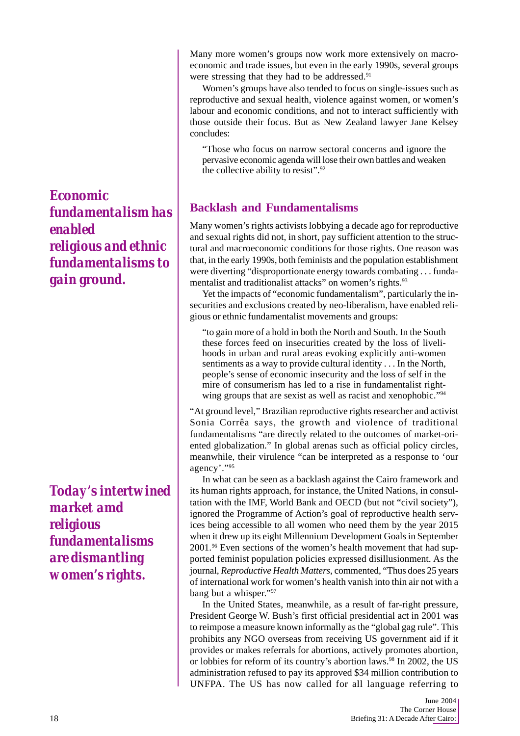*Economic fundamentalism has enabled religious and ethnic fundamentalisms to gain ground.*

*Today's intertwined market amd religious fundamentalisms are dismantling women's rights.*

Many more women's groups now work more extensively on macroeconomic and trade issues, but even in the early 1990s, several groups were stressing that they had to be addressed.<sup>91</sup>

Women's groups have also tended to focus on single-issues such as reproductive and sexual health, violence against women, or women's labour and economic conditions, and not to interact sufficiently with those outside their focus. But as New Zealand lawyer Jane Kelsey concludes:

"Those who focus on narrow sectoral concerns and ignore the pervasive economic agenda will lose their own battles and weaken the collective ability to resist".92

### **Backlash and Fundamentalisms**

Many women's rights activists lobbying a decade ago for reproductive and sexual rights did not, in short, pay sufficient attention to the structural and macroeconomic conditions for those rights. One reason was that, in the early 1990s, both feminists and the population establishment were diverting "disproportionate energy towards combating . . . fundamentalist and traditionalist attacks" on women's rights.<sup>93</sup>

Yet the impacts of "economic fundamentalism", particularly the insecurities and exclusions created by neo-liberalism, have enabled religious or ethnic fundamentalist movements and groups:

"to gain more of a hold in both the North and South. In the South these forces feed on insecurities created by the loss of livelihoods in urban and rural areas evoking explicitly anti-women sentiments as a way to provide cultural identity . . . In the North, people's sense of economic insecurity and the loss of self in the mire of consumerism has led to a rise in fundamentalist rightwing groups that are sexist as well as racist and xenophobic."94

"At ground level," Brazilian reproductive rights researcher and activist Sonia Corrêa says, the growth and violence of traditional fundamentalisms "are directly related to the outcomes of market-oriented globalization." In global arenas such as official policy circles, meanwhile, their virulence "can be interpreted as a response to 'our agency'."95

In what can be seen as a backlash against the Cairo framework and its human rights approach, for instance, the United Nations, in consultation with the IMF, World Bank and OECD (but not "civil society"), ignored the Programme of Action's goal of reproductive health services being accessible to all women who need them by the year 2015 when it drew up its eight Millennium Development Goals in September 2001.96 Even sections of the women's health movement that had supported feminist population policies expressed disillusionment. As the journal, *Reproductive Health Matters*, commented, "Thus does 25 years of international work for women's health vanish into thin air not with a bang but a whisper."97

In the United States, meanwhile, as a result of far-right pressure, President George W. Bush's first official presidential act in 2001 was to reimpose a measure known informally as the "global gag rule". This prohibits any NGO overseas from receiving US government aid if it provides or makes referrals for abortions, actively promotes abortion, or lobbies for reform of its country's abortion laws.<sup>98</sup> In 2002, the US administration refused to pay its approved \$34 million contribution to UNFPA. The US has now called for all language referring to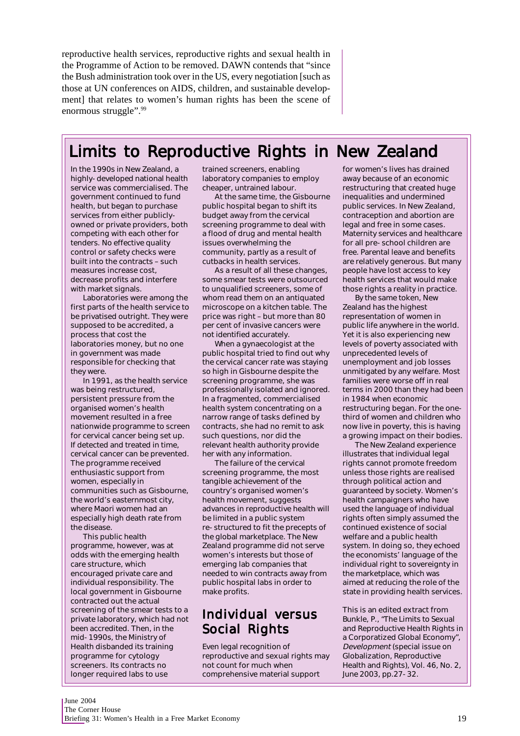reproductive health services, reproductive rights and sexual health in the Programme of Action to be removed. DAWN contends that "since the Bush administration took over in the US, every negotiation [such as those at UN conferences on AIDS, children, and sustainable development] that relates to women's human rights has been the scene of enormous struggle".99

# Limits to Reproductive Rights in New Zealand

In the 1990s in New Zealand, a highly-developed national health service was commercialised. The government continued to fund health, but began to purchase services from either publiclyowned or private providers, both competing with each other for tenders. No effective quality control or safety checks were built into the contracts – such measures increase cost, decrease profits and interfere with market signals.

Laboratories were among the first parts of the health service to be privatised outright. They were supposed to be accredited, a process that cost the laboratories money, but no one in government was made responsible for checking that they were.

In 1991, as the health service was being restructured, persistent pressure from the organised women's health movement resulted in a free nationwide programme to screen for cervical cancer being set up. If detected and treated in time, cervical cancer can be prevented. The programme received enthusiastic support from women, especially in communities such as Gisbourne, the world's easternmost city, where Maori women had an especially high death rate from the disease.

This public health programme, however, was at odds with the emerging health care structure, which encouraged private care and individual responsibility. The local government in Gisbourne contracted out the actual screening of the smear tests to a private laboratory, which had not been accredited. Then, in the mid-1990s, the Ministry of Health disbanded its training programme for cytology screeners. Its contracts no longer required labs to use

trained screeners, enabling laboratory companies to employ cheaper, untrained labour.

At the same time, the Gisbourne public hospital began to shift its budget away from the cervical screening programme to deal with a flood of drug and mental health issues overwhelming the community, partly as a result of cutbacks in health services.

As a result of all these changes, some smear tests were outsourced to unqualified screeners, some of whom read them on an antiquated microscope on a kitchen table. The price was right – but more than 80 per cent of invasive cancers were not identified accurately.

When a gynaecologist at the public hospital tried to find out why the cervical cancer rate was staying so high in Gisbourne despite the screening programme, she was professionally isolated and ignored. In a fragmented, commercialised health system concentrating on a narrow range of tasks defined by contracts, she had no remit to ask such questions, nor did the relevant health authority provide her with any information.

The failure of the cervical screening programme, the most tangible achievement of the country's organised women's health movement, suggests advances in reproductive health will be limited in a public system re-structured to fit the precepts of the global marketplace. The New Zealand programme did not serve women's interests but those of emerging lab companies that needed to win contracts away from public hospital labs in order to make profits.

### Individual versus Social Rights

Even legal recognition of reproductive and sexual rights may not count for much when comprehensive material support

for women's lives has drained away because of an economic restructuring that created huge inequalities and undermined public services. In New Zealand, contraception and abortion are legal and free in some cases. Maternity services and healthcare for all pre-school children are free. Parental leave and benefits are relatively generous. But many people have lost access to key health services that would make those rights a reality in practice.

By the same token, New Zealand has the highest representation of women in public life anywhere in the world. Yet it is also experiencing new levels of poverty associated with unprecedented levels of unemployment and job losses unmitigated by any welfare. Most families were worse off in real terms in 2000 than they had been in 1984 when economic restructuring began. For the onethird of women and children who now live in poverty, this is having a growing impact on their bodies.

The New Zealand experience illustrates that individual legal rights cannot promote freedom unless those rights are realised through political action and guaranteed by society. Women's health campaigners who have used the language of individual rights often simply assumed the continued existence of social welfare and a public health system. In doing so, they echoed the economists' language of the individual right to sovereignty in the marketplace, which was aimed at reducing the role of the state in providing health services.

This is an edited extract from Bunkle, P., "The Limits to Sexual and Reproductive Health Rights in a Corporatized Global Economy", Development (special issue on Globalization, Reproductive Health and Rights), Vol. 46, No. 2, June 2003, pp.27-32.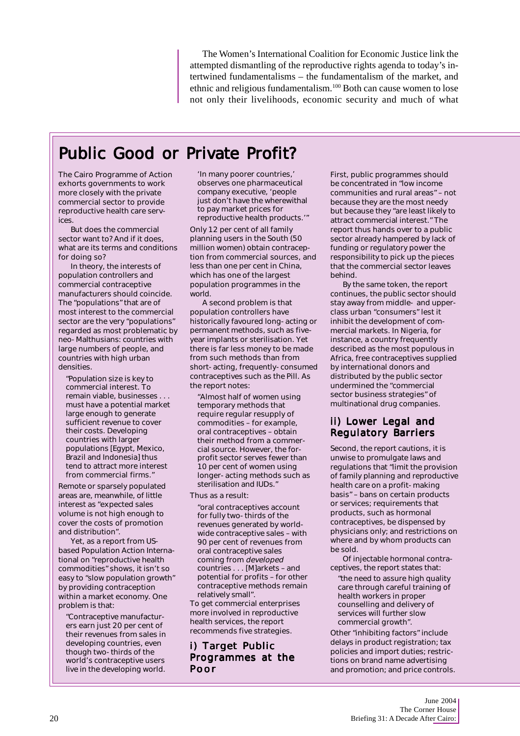The Women's International Coalition for Economic Justice link the attempted dismantling of the reproductive rights agenda to today's intertwined fundamentalisms – the fundamentalism of the market, and ethnic and religious fundamentalism.100 Both can cause women to lose not only their livelihoods, economic security and much of what

# Public Good or Private Profit?

The Cairo Programme of Action exhorts governments to work more closely with the private commercial sector to provide reproductive health care services.

But does the commercial sector want to? And if it does. what are its terms and conditions for doing so?

In theory, the interests of population controllers and commercial contraceptive manufacturers should coincide. The "populations" that are of most interest to the commercial sector are the very "populations" regarded as most problematic by neo-Malthusians: countries with large numbers of people, and countries with high urban densities.

"Population size is key to commercial interest. To remain viable, businesses . . . must have a potential market large enough to generate sufficient revenue to cover their costs. Developing countries with larger populations [Egypt, Mexico, Brazil and Indonesia] thus tend to attract more interest from commercial firms."

Remote or sparsely populated areas are, meanwhile, of little interest as "expected sales volume is not high enough to cover the costs of promotion and distribution".

Yet, as a report from USbased Population Action International on "reproductive health commodities" shows, it isn't so easy to "slow population growth" by providing contraception within a market economy. One problem is that:

"Contraceptive manufacturers earn just 20 per cent of their revenues from sales in developing countries, even though two-thirds of the world's contraceptive users live in the developing world.

'In many poorer countries,' observes one pharmaceutical company executive, 'people just don't have the wherewithal to pay market prices for reproductive health products.'"

Only 12 per cent of all family planning users in the South (50 million women) obtain contraception from commercial sources, and less than one per cent in China, which has one of the largest population programmes in the world.

A second problem is that population controllers have historically favoured long-acting or permanent methods, such as fiveyear implants or sterilisation. Yet there is far less money to be made from such methods than from short-acting, frequently-consumed contraceptives such as the Pill. As the report notes:

"Almost half of women using temporary methods that require regular resupply of commodities – for example, oral contraceptives – obtain their method from a commercial source. However, the forprofit sector serves fewer than 10 per cent of women using longer-acting methods such as sterilisation and IUDs."

Thus as a result:

"oral contraceptives account for fully two-thirds of the revenues generated by worldwide contraceptive sales – with 90 per cent of revenues from oral contraceptive sales coming from developed countries . . . [M]arkets – and potential for profits – for other contraceptive methods remain relatively small".

To get commercial enterprises more involved in reproductive health services, the report recommends five strategies.

#### i) Target Public Programmes at the Poor

First, public programmes should be concentrated in "low income communities and rural areas" – not because they are the most needy but because they "are least likely to attract commercial interest." The report thus hands over to a public sector already hampered by lack of funding or regulatory power the responsibility to pick up the pieces that the commercial sector leaves behind.

By the same token, the report continues, the public sector should stay away from middle- and upperclass urban "consumers" lest it inhibit the development of commercial markets. In Nigeria, for instance, a country frequently described as the most populous in Africa, free contraceptives supplied by international donors and distributed by the public sector undermined the "commercial sector business strategies" of multinational drug companies.

#### ii) Lower Legal and Regulatory Barriers

Second, the report cautions, it is unwise to promulgate laws and regulations that "limit the provision of family planning and reproductive health care on a profit-making basis" – bans on certain products or services; requirements that products, such as hormonal contraceptives, be dispensed by physicians only; and restrictions on where and by whom products can be sold.

Of injectable hormonal contraceptives, the report states that:

"the need to assure high quality care through careful training of health workers in proper counselling and delivery of services will further slow commercial growth".

Other "inhibiting factors" include delays in product registration; tax policies and import duties; restrictions on brand name advertising and promotion; and price controls.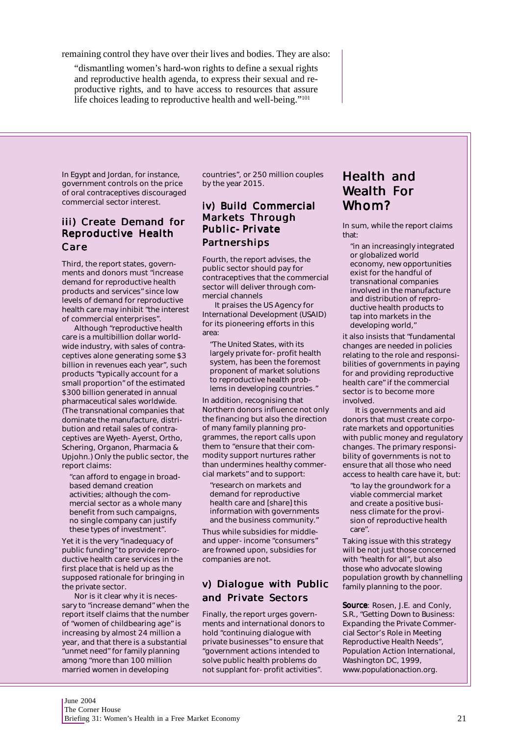remaining control they have over their lives and bodies. They are also:

"dismantling women's hard-won rights to define a sexual rights and reproductive health agenda, to express their sexual and reproductive rights, and to have access to resources that assure life choices leading to reproductive health and well-being."101

In Egypt and Jordan, for instance, government controls on the price of oral contraceptives discouraged commercial sector interest.

#### iii) Create Demand for Reproductive Health Care

Third, the report states, governments and donors must "increase demand for reproductive health products and services" since low levels of demand for reproductive health care may inhibit "the interest of commercial enterprises".

Although "reproductive health care is a multibillion dollar worldwide industry, with sales of contraceptives alone generating some \$3 billion in revenues each year", such products "typically account for a small proportion" of the estimated \$300 billion generated in annual pharmaceutical sales worldwide. (The transnational companies that dominate the manufacture, distribution and retail sales of contraceptives are Wyeth-Ayerst, Ortho, Schering, Organon, Pharmacia & Upjohn.) Only the public sector, the report claims:

"can afford to engage in broadbased demand creation activities; although the commercial sector as a whole many benefit from such campaigns, no single company can justify these types of investment".

Yet it is the very "inadequacy of public funding" to provide reproductive health care services in the first place that is held up as the supposed rationale for bringing in the private sector.

Nor is it clear why it is necessary to "increase demand" when the report itself claims that the number of "women of childbearing age" is increasing by almost 24 million a year, and that there is a substantial "unmet need" for family planning among "more than 100 million married women in developing

countries", or 250 million couples by the year 2015.

#### iv) Build Commercial Markets Through Public-Private **Partnerships**

Fourth, the report advises, the public sector should pay for contraceptives that the commercial sector will deliver through commercial channels

It praises the US Agency for International Development (USAID) for its pioneering efforts in this area:

"The United States, with its largely private for-profit health system, has been the foremost proponent of market solutions to reproductive health problems in developing countries."

In addition, recognising that Northern donors influence not only the financing but also the direction of many family planning programmes, the report calls upon them to "ensure that their commodity support nurtures rather than undermines healthy commercial markets" and to support:

"research on markets and demand for reproductive health care and [share] this information with governments and the business community."

Thus while subsidies for middleand upper-income "consumers" are frowned upon, subsidies for companies are not.

#### v) Dialogue with Public and Private Sectors

Finally, the report urges governments and international donors to hold "continuing dialogue with private businesses" to ensure that "government actions intended to solve public health problems do not supplant for-profit activities".

### Health and Wealth For Whom?

In sum, while the report claims that:

"in an increasingly integrated or globalized world economy, new opportunities exist for the handful of transnational companies involved in the manufacture and distribution of reproductive health products to tap into markets in the developing world,"

it also insists that "fundamental changes are needed in policies relating to the role and responsibilities of governments in paying for and providing reproductive health care" if the commercial sector is to become more involved.

It is governments and aid donors that must create corporate markets and opportunities with public money and regulatory changes. The primary responsibility of governments is not to ensure that all those who need access to health care have it, but:

"to lay the groundwork for a viable commercial market and create a positive business climate for the provision of reproductive health care".

Taking issue with this strategy will be not just those concerned with "health for all", but also those who advocate slowing population growth by channelling family planning to the poor.

Source: Rosen, J.E. and Conly, S.R., "Getting Down to Business: Expanding the Private Commercial Sector's Role in Meeting Reproductive Health Needs", Population Action International, Washington DC, 1999, www.populationaction.org.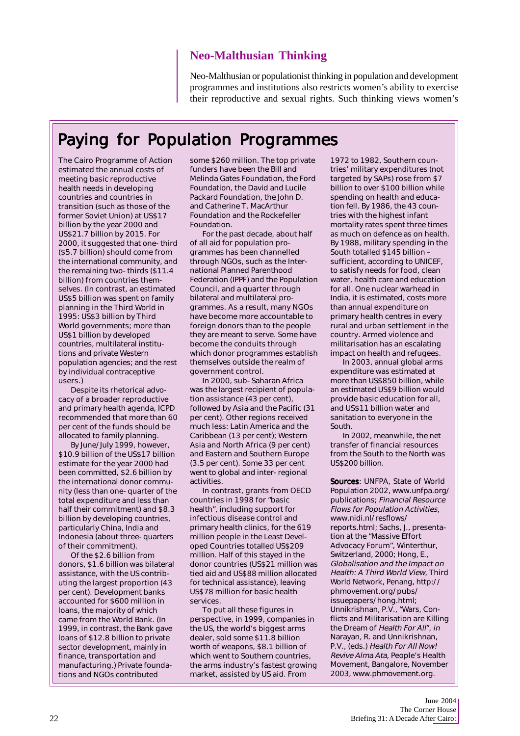#### **Neo-Malthusian Thinking**

Neo-Malthusian or populationist thinking in population and development programmes and institutions also restricts women's ability to exercise their reproductive and sexual rights. Such thinking views women's

# Paying for Population Programmes

The Cairo Programme of Action estimated the annual costs of meeting basic reproductive health needs in developing countries and countries in transition (such as those of the former Soviet Union) at US\$17 billion by the year 2000 and US\$21.7 billion by 2015. For 2000, it suggested that one-third (\$5.7 billion) should come from the international community, and the remaining two-thirds (\$11.4 billion) from countries themselves. (In contrast, an estimated US\$5 billion was spent on family planning in the Third World in 1995: US\$3 billion by Third World governments; more than US\$1 billion by developed countries, multilateral institutions and private Western population agencies; and the rest by individual contraceptive users.)

Despite its rhetorical advocacy of a broader reproductive and primary health agenda, ICPD recommended that more than 60 per cent of the funds should be allocated to family planning.

By June/July 1999, however, \$10.9 billion of the US\$17 billion estimate for the year 2000 had been committed, \$2.6 billion by the international donor community (less than one-quarter of the total expenditure and less than half their commitment) and \$8.3 billion by developing countries, particularly China, India and Indonesia (about three-quarters of their commitment).

Of the \$2.6 billion from donors, \$1.6 billion was bilateral assistance, with the US contributing the largest proportion (43 per cent). Development banks accounted for \$600 million in loans, the majority of which came from the World Bank. (In 1999, in contrast, the Bank gave loans of \$12.8 billion to private sector development, mainly in finance, transportation and manufacturing.) Private foundations and NGOs contributed

some \$260 million. The top private funders have been the Bill and Melinda Gates Foundation, the Ford Foundation, the David and Lucile Packard Foundation, the John D. and Catherine T. MacArthur Foundation and the Rockefeller Foundation.

For the past decade, about half of all aid for population programmes has been channelled through NGOs, such as the International Planned Parenthood Federation (IPPF) and the Population Council, and a quarter through bilateral and multilateral programmes. As a result, many NGOs have become more accountable to foreign donors than to the people they are meant to serve. Some have become the conduits through which donor programmes establish themselves outside the realm of government control.

In 2000, sub-Saharan Africa was the largest recipient of population assistance (43 per cent), followed by Asia and the Pacific (31 per cent). Other regions received much less: Latin America and the Caribbean (13 per cent); Western Asia and North Africa (9 per cent) and Eastern and Southern Europe (3.5 per cent). Some 33 per cent went to global and inter-regional activities.

In contrast, grants from OECD countries in 1998 for "basic health", including support for infectious disease control and primary health clinics, for the 619 million people in the Least Developed Countries totalled US\$209 million. Half of this stayed in the donor countries (US\$21 million was tied aid and US\$88 million allocated for technical assistance), leaving US\$78 million for basic health services.

To put all these figures in perspective, in 1999, companies in the US, the world's biggest arms dealer, sold some \$11.8 billion worth of weapons, \$8.1 billion of which went to Southern countries, the arms industry's fastest growing market, assisted by US aid. From

1972 to 1982, Southern countries' military expenditures (not targeted by SAPs) rose from \$7 billion to over \$100 billion while spending on health and education fell. By 1986, the 43 countries with the highest infant mortality rates spent three times as much on defence as on health. By 1988, military spending in the South totalled \$145 billion – sufficient, according to UNICEF, to satisfy needs for food, clean water, health care and education for all. One nuclear warhead in India, it is estimated, costs more than annual expenditure on primary health centres in every rural and urban settlement in the country. Armed violence and militarisation has an escalating impact on health and refugees.

In 2003, annual global arms expenditure was estimated at more than US\$850 billion, while an estimated US\$9 billion would provide basic education for all, and US\$11 billion water and sanitation to everyone in the South.

In 2002, meanwhile, the net transfer of financial resources from the South to the North was US\$200 billion.

Sources: UNFPA, State of World Population 2002, www.unfpa.org/ publications; Financial Resource Flows for Population Activities, www.nidi.nl/resflows/ reports.html; Sachs, J., presentation at the "Massive Effort Advocacy Forum", Winterthur, Switzerland, 2000; Hong, E., Globalisation and the Impact on Health: A Third World View, Third World Network, Penang, http:// phmovement.org/pubs/ issuepapers/hong.html; Unnikrishnan, P.V., "Wars, Conflicts and Militarisation are Killing the Dream of Health For All", in Narayan, R. and Unnikrishnan, P.V., (eds.) Health For All Now! Revive Alma Ata, People's Health Movement, Bangalore, November 2003, www.phmovement.org.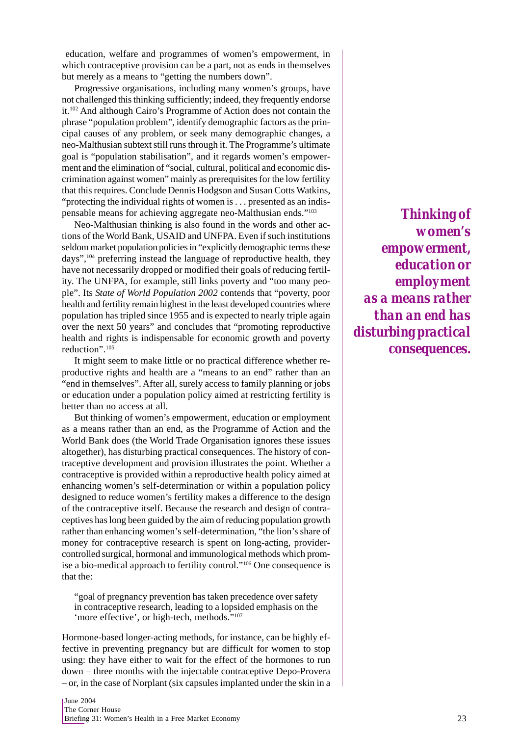education, welfare and programmes of women's empowerment, in which contraceptive provision can be a part, not as ends in themselves but merely as a means to "getting the numbers down".

Progressive organisations, including many women's groups, have not challenged this thinking sufficiently; indeed, they frequently endorse it.102 And although Cairo's Programme of Action does not contain the phrase "population problem", identify demographic factors as the principal causes of any problem, or seek many demographic changes, a neo-Malthusian subtext still runs through it. The Programme's ultimate goal is "population stabilisation", and it regards women's empowerment and the elimination of "social, cultural, political and economic discrimination against women" mainly as prerequisites for the low fertility that this requires. Conclude Dennis Hodgson and Susan Cotts Watkins, "protecting the individual rights of women is . . . presented as an indispensable means for achieving aggregate neo-Malthusian ends."103

Neo-Malthusian thinking is also found in the words and other actions of the World Bank, USAID and UNFPA. Even if such institutions seldom market population policies in "explicitly demographic terms these days",104 preferring instead the language of reproductive health, they have not necessarily dropped or modified their goals of reducing fertility. The UNFPA, for example, still links poverty and "too many people". Its *State of World Population 2002* contends that "poverty, poor health and fertility remain highest in the least developed countries where population has tripled since 1955 and is expected to nearly triple again over the next 50 years" and concludes that "promoting reproductive health and rights is indispensable for economic growth and poverty reduction".105

It might seem to make little or no practical difference whether reproductive rights and health are a "means to an end" rather than an "end in themselves". After all, surely access to family planning or jobs or education under a population policy aimed at restricting fertility is better than no access at all.

But thinking of women's empowerment, education or employment as a means rather than an end, as the Programme of Action and the World Bank does (the World Trade Organisation ignores these issues altogether), has disturbing practical consequences. The history of contraceptive development and provision illustrates the point. Whether a contraceptive is provided within a reproductive health policy aimed at enhancing women's self-determination or within a population policy designed to reduce women's fertility makes a difference to the design of the contraceptive itself. Because the research and design of contraceptives has long been guided by the aim of reducing population growth rather than enhancing women's self-determination, "the lion's share of money for contraceptive research is spent on long-acting, providercontrolled surgical, hormonal and immunological methods which promise a bio-medical approach to fertility control."106 One consequence is that the:

"goal of pregnancy prevention has taken precedence over safety in contraceptive research, leading to a lopsided emphasis on the 'more effective', or high-tech, methods."<sup>107</sup>

Hormone-based longer-acting methods, for instance, can be highly effective in preventing pregnancy but are difficult for women to stop using: they have either to wait for the effect of the hormones to run down – three months with the injectable contraceptive Depo-Provera – or, in the case of Norplant (six capsules implanted under the skin in a

*Thinking of women's empowerment, education or employment as a means rather than an end has disturbing practical consequences.*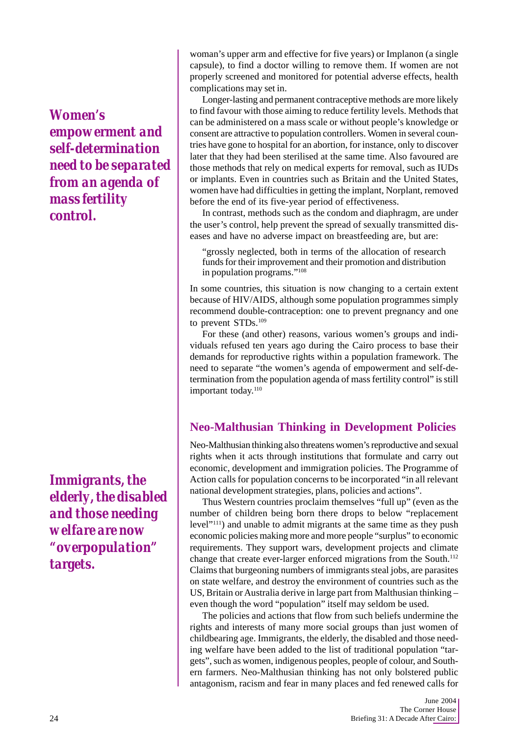*Women's empowerment and self-determination need to be separated from an agenda of mass fertility control.*

*Immigrants, the elderly, the disabled and those needing welfare are now "overpopulation" targets.*

woman's upper arm and effective for five years) or Implanon (a single capsule), to find a doctor willing to remove them. If women are not properly screened and monitored for potential adverse effects, health complications may set in.

Longer-lasting and permanent contraceptive methods are more likely to find favour with those aiming to reduce fertility levels. Methods that can be administered on a mass scale or without people's knowledge or consent are attractive to population controllers. Women in several countries have gone to hospital for an abortion, for instance, only to discover later that they had been sterilised at the same time. Also favoured are those methods that rely on medical experts for removal, such as IUDs or implants. Even in countries such as Britain and the United States, women have had difficulties in getting the implant, Norplant, removed before the end of its five-year period of effectiveness.

In contrast, methods such as the condom and diaphragm, are under the user's control, help prevent the spread of sexually transmitted diseases and have no adverse impact on breastfeeding are, but are:

"grossly neglected, both in terms of the allocation of research funds for their improvement and their promotion and distribution in population programs."108

In some countries, this situation is now changing to a certain extent because of HIV/AIDS, although some population programmes simply recommend double-contraception: one to prevent pregnancy and one to prevent STDs.109

For these (and other) reasons, various women's groups and individuals refused ten years ago during the Cairo process to base their demands for reproductive rights within a population framework. The need to separate "the women's agenda of empowerment and self-determination from the population agenda of mass fertility control" is still important today.<sup>110</sup>

### **Neo-Malthusian Thinking in Development Policies**

Neo-Malthusian thinking also threatens women's reproductive and sexual rights when it acts through institutions that formulate and carry out economic, development and immigration policies. The Programme of Action calls for population concerns to be incorporated "in all relevant national development strategies, plans, policies and actions".

Thus Western countries proclaim themselves "full up" (even as the number of children being born there drops to below "replacement level"111) and unable to admit migrants at the same time as they push economic policies making more and more people "surplus" to economic requirements. They support wars, development projects and climate change that create ever-larger enforced migrations from the South.<sup>112</sup> Claims that burgeoning numbers of immigrants steal jobs, are parasites on state welfare, and destroy the environment of countries such as the US, Britain or Australia derive in large part from Malthusian thinking – even though the word "population" itself may seldom be used.

The policies and actions that flow from such beliefs undermine the rights and interests of many more social groups than just women of childbearing age. Immigrants, the elderly, the disabled and those needing welfare have been added to the list of traditional population "targets", such as women, indigenous peoples, people of colour, and Southern farmers. Neo-Malthusian thinking has not only bolstered public antagonism, racism and fear in many places and fed renewed calls for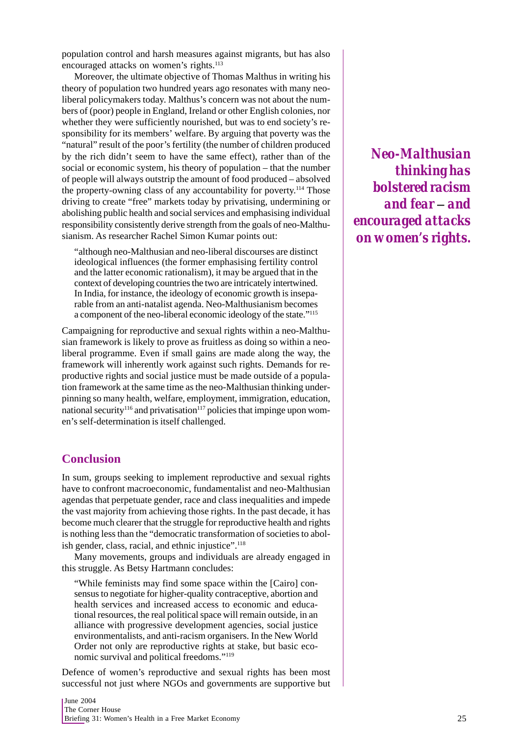population control and harsh measures against migrants, but has also encouraged attacks on women's rights.113

Moreover, the ultimate objective of Thomas Malthus in writing his theory of population two hundred years ago resonates with many neoliberal policymakers today. Malthus's concern was not about the numbers of (poor) people in England, Ireland or other English colonies, nor whether they were sufficiently nourished, but was to end society's responsibility for its members' welfare. By arguing that poverty was the "natural" result of the poor's fertility (the number of children produced by the rich didn't seem to have the same effect), rather than of the social or economic system, his theory of population – that the number of people will always outstrip the amount of food produced – absolved the property-owning class of any accountability for poverty.114 Those driving to create "free" markets today by privatising, undermining or abolishing public health and social services and emphasising individual responsibility consistently derive strength from the goals of neo-Malthusianism. As researcher Rachel Simon Kumar points out:

"although neo-Malthusian and neo-liberal discourses are distinct ideological influences (the former emphasising fertility control and the latter economic rationalism), it may be argued that in the context of developing countries the two are intricately intertwined. In India, for instance, the ideology of economic growth is inseparable from an anti-natalist agenda. Neo-Malthusianism becomes a component of the neo-liberal economic ideology of the state."115

Campaigning for reproductive and sexual rights within a neo-Malthusian framework is likely to prove as fruitless as doing so within a neoliberal programme. Even if small gains are made along the way, the framework will inherently work against such rights. Demands for reproductive rights and social justice must be made outside of a population framework at the same time as the neo-Malthusian thinking underpinning so many health, welfare, employment, immigration, education, national security<sup>116</sup> and privatisation<sup>117</sup> policies that impinge upon women's self-determination is itself challenged.

### **Conclusion**

In sum, groups seeking to implement reproductive and sexual rights have to confront macroeconomic, fundamentalist and neo-Malthusian agendas that perpetuate gender, race and class inequalities and impede the vast majority from achieving those rights. In the past decade, it has become much clearer that the struggle for reproductive health and rights is nothing less than the "democratic transformation of societies to abolish gender, class, racial, and ethnic injustice".<sup>118</sup>

Many movements, groups and individuals are already engaged in this struggle. As Betsy Hartmann concludes:

"While feminists may find some space within the [Cairo] consensus to negotiate for higher-quality contraceptive, abortion and health services and increased access to economic and educational resources, the real political space will remain outside, in an alliance with progressive development agencies, social justice environmentalists, and anti-racism organisers. In the New World Order not only are reproductive rights at stake, but basic economic survival and political freedoms."119

Defence of women's reproductive and sexual rights has been most successful not just where NGOs and governments are supportive but

*Neo-Malthusian thinking has bolstered racism and fear – and encouraged attacks on women's rights.*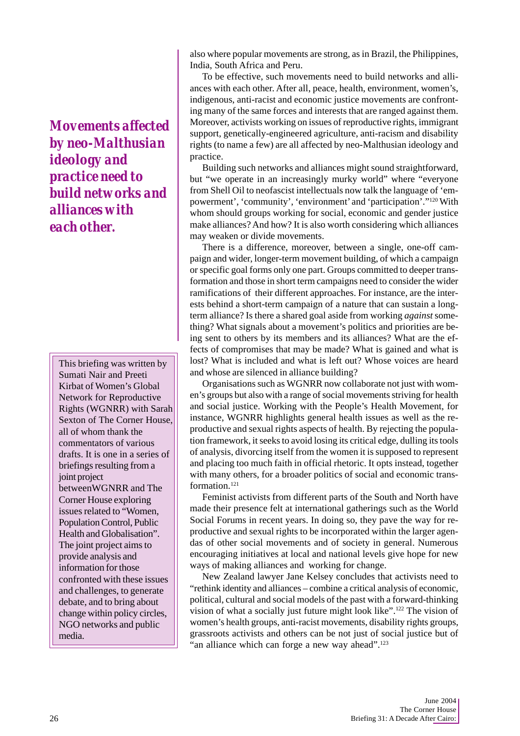*Movements affected by neo-Malthusian ideology and practice need to build networks and alliances with each other.*

This briefing was written by Sumati Nair and Preeti Kirbat of Women's Global Network for Reproductive Rights (WGNRR) with Sarah Sexton of The Corner House, all of whom thank the commentators of various drafts. It is one in a series of briefings resulting from a joint project betweenWGNRR and The Corner House exploring issues related to "Women, Population Control, Public Health and Globalisation". The joint project aims to provide analysis and information for those confronted with these issues and challenges, to generate debate, and to bring about change within policy circles, NGO networks and public media.

also where popular movements are strong, as in Brazil, the Philippines, India, South Africa and Peru.

To be effective, such movements need to build networks and alliances with each other. After all, peace, health, environment, women's, indigenous, anti-racist and economic justice movements are confronting many of the same forces and interests that are ranged against them. Moreover, activists working on issues of reproductive rights, immigrant support, genetically-engineered agriculture, anti-racism and disability rights (to name a few) are all affected by neo-Malthusian ideology and practice.

Building such networks and alliances might sound straightforward, but "we operate in an increasingly murky world" where "everyone from Shell Oil to neofascist intellectuals now talk the language of 'empowerment', 'community', 'environment' and 'participation'."120 With whom should groups working for social, economic and gender justice make alliances? And how? It is also worth considering which alliances may weaken or divide movements.

There is a difference, moreover, between a single, one-off campaign and wider, longer-term movement building, of which a campaign or specific goal forms only one part. Groups committed to deeper transformation and those in short term campaigns need to consider the wider ramifications of their different approaches. For instance, are the interests behind a short-term campaign of a nature that can sustain a longterm alliance? Is there a shared goal aside from working *against* something? What signals about a movement's politics and priorities are being sent to others by its members and its alliances? What are the effects of compromises that may be made? What is gained and what is lost? What is included and what is left out? Whose voices are heard and whose are silenced in alliance building?

Organisations such as WGNRR now collaborate not just with women's groups but also with a range of social movements striving for health and social justice. Working with the People's Health Movement, for instance, WGNRR highlights general health issues as well as the reproductive and sexual rights aspects of health. By rejecting the population framework, it seeks to avoid losing its critical edge, dulling its tools of analysis, divorcing itself from the women it is supposed to represent and placing too much faith in official rhetoric. It opts instead, together with many others, for a broader politics of social and economic transformation.121

Feminist activists from different parts of the South and North have made their presence felt at international gatherings such as the World Social Forums in recent years. In doing so, they pave the way for reproductive and sexual rights to be incorporated within the larger agendas of other social movements and of society in general. Numerous encouraging initiatives at local and national levels give hope for new ways of making alliances and working for change.

New Zealand lawyer Jane Kelsey concludes that activists need to "rethink identity and alliances – combine a critical analysis of economic, political, cultural and social models of the past with a forward-thinking vision of what a socially just future might look like".122 The vision of women's health groups, anti-racist movements, disability rights groups, grassroots activists and others can be not just of social justice but of "an alliance which can forge a new way ahead".<sup>123</sup>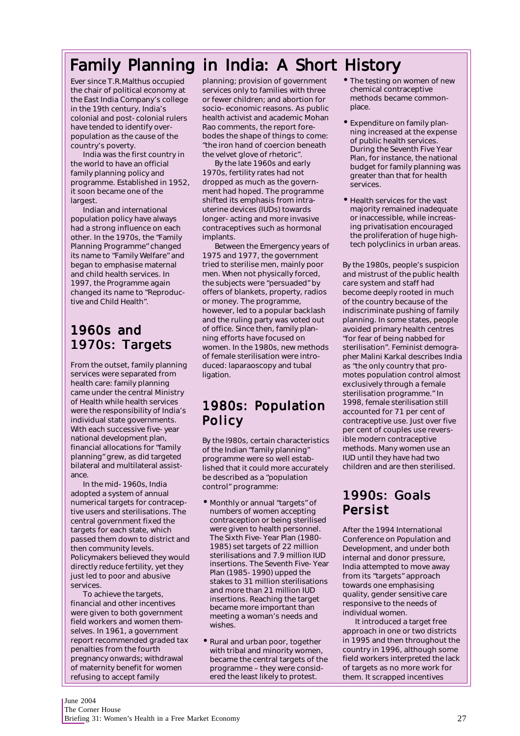# Family Planning in India: A Short History

Ever since T.R.Malthus occupied the chair of political economy at the East India Company's college in the 19th century, India's colonial and post-colonial rulers have tended to identify overpopulation as the cause of the country's poverty.

India was the first country in the world to have an official family planning policy and programme. Established in 1952, it soon became one of the largest.

Indian and international population policy have always had a strong influence on each other. In the 1970s, the "Family Planning Programme" changed its name to "Family Welfare" and began to emphasise maternal and child health services. In 1997, the Programme again changed its name to "Reproductive and Child Health".

### 1960s and 1970s: Targets

From the outset, family planning services were separated from health care: family planning came under the central Ministry of Health while health services were the responsibility of India's individual state governments. With each successive five-year national development plan, financial allocations for "family planning" grew, as did targeted bilateral and multilateral assistance.

In the mid-1960s, India adopted a system of annual numerical targets for contraceptive users and sterilisations. The central government fixed the targets for each state, which passed them down to district and then community levels. Policymakers believed they would directly reduce fertility, yet they just led to poor and abusive services.

To achieve the targets, financial and other incentives were given to both government field workers and women themselves. In 1961, a government report recommended graded tax penalties from the fourth pregnancy onwards; withdrawal of maternity benefit for women refusing to accept family

planning; provision of government services only to families with three or fewer children; and abortion for socio-economic reasons. As public health activist and academic Mohan Rao comments, the report forebodes the shape of things to come: "the iron hand of coercion beneath the velvet glove of rhetoric".

By the late 1960s and early 1970s, fertility rates had not dropped as much as the government had hoped. The programme shifted its emphasis from intrauterine devices (IUDs) towards longer-acting and more invasive contraceptives such as hormonal implants.

Between the Emergency years of 1975 and 1977, the government tried to sterilise men, mainly poor men. When not physically forced, the subjects were "persuaded" by offers of blankets, property, radios or money. The programme, however, led to a popular backlash and the ruling party was voted out of office. Since then, family planning efforts have focused on women. In the 1980s, new methods of female sterilisation were introduced: laparaoscopy and tubal ligation.

### 1980s: Population Policy

By the l980s, certain characteristics of the Indian "family planning" programme were so well established that it could more accurately be described as a "population control" programme:

- •Monthly or annual "targets" of numbers of women accepting contraception or being sterilised were given to health personnel. The Sixth Five-Year Plan (1980- 1985) set targets of 22 million sterilisations and 7.9 million IUD insertions. The Seventh Five-Year Plan (1985-1990) upped the stakes to 31 million sterilisations and more than 21 million IUD insertions. Reaching the target became more important than meeting a woman's needs and wishes.
- •Rural and urban poor, together with tribal and minority women, became the central targets of the programme – they were considered the least likely to protest.
- •The testing on women of new chemical contraceptive methods became commonplace.
- •Expenditure on family planning increased at the expense of public health services. During the Seventh Five Year Plan, for instance, the national budget for family planning was greater than that for health services.
- •Health services for the vast majority remained inadequate or inaccessible, while increasing privatisation encouraged the proliferation of huge hightech polyclinics in urban areas.

By the 1980s, people's suspicion and mistrust of the public health care system and staff had become deeply rooted in much of the country because of the indiscriminate pushing of family planning. In some states, people avoided primary health centres "for fear of being nabbed for sterilisation". Feminist demographer Malini Karkal describes India as "the only country that promotes population control almost exclusively through a female sterilisation programme." In 1998, female sterilisation still accounted for 71 per cent of contraceptive use. Just over five per cent of couples use reversible modern contraceptive methods. Many women use an IUD until they have had two children and are then sterilised.

### 1990s: Goals **Persist**

After the 1994 International Conference on Population and Development, and under both internal and donor pressure, India attempted to move away from its "targets" approach towards one emphasising quality, gender sensitive care responsive to the needs of individual women.

It introduced a target free approach in one or two districts in 1995 and then throughout the country in 1996, although some field workers interpreted the lack of targets as no more work for them. It scrapped incentives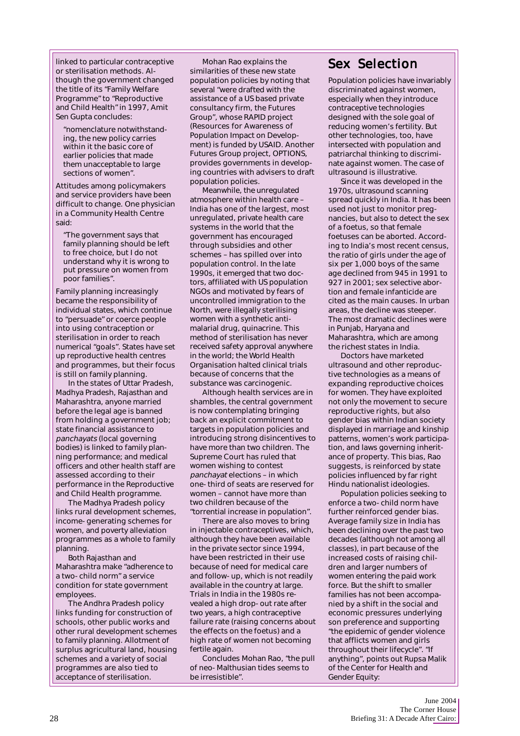linked to particular contraceptive or sterilisation methods. Although the government changed the title of its "Family Welfare Programme" to "Reproductive and Child Health" in 1997, Amit Sen Gupta concludes:

"nomenclature notwithstanding, the new policy carries within it the basic core of earlier policies that made them unacceptable to large sections of women".

Attitudes among policymakers and service providers have been difficult to change. One physician in a Community Health Centre said:

"The government says that family planning should be left to free choice, but I do not understand why it is wrong to put pressure on women from poor families".

Family planning increasingly became the responsibility of individual states, which continue to "persuade" or coerce people into using contraception or sterilisation in order to reach numerical "goals". States have set up reproductive health centres and programmes, but their focus is still on family planning.

In the states of Uttar Pradesh, Madhya Pradesh, Rajasthan and Maharashtra, anyone married before the legal age is banned from holding a government job; state financial assistance to panchayats (local governing bodies) is linked to family planning performance; and medical officers and other health staff are assessed according to their performance in the Reproductive and Child Health programme.

The Madhya Pradesh policy links rural development schemes, income-generating schemes for women, and poverty alleviation programmes as a whole to family planning.

Both Rajasthan and Maharashtra make "adherence to a two-child norm" a service condition for state government employees.

The Andhra Pradesh policy links funding for construction of schools, other public works and other rural development schemes to family planning. Allotment of surplus agricultural land, housing schemes and a variety of social programmes are also tied to acceptance of sterilisation.

Mohan Rao explains the similarities of these new state population policies by noting that several "were drafted with the assistance of a US based private consultancy firm, the Futures Group", whose RAPID project (Resources for Awareness of Population Impact on Development) is funded by USAID. Another Futures Group project, OPTIONS, provides governments in developing countries with advisers to draft population policies.

Meanwhile, the unregulated atmosphere within health care – India has one of the largest, most unregulated, private health care systems in the world that the government has encouraged through subsidies and other schemes – has spilled over into population control. In the late 1990s, it emerged that two doctors, affiliated with US population NGOs and motivated by fears of uncontrolled immigration to the North, were illegally sterilising women with a synthetic antimalarial drug, quinacrine. This method of sterilisation has never received safety approval anywhere in the world; the World Health Organisation halted clinical trials because of concerns that the substance was carcinogenic.

Although health services are in shambles, the central government is now contemplating bringing back an explicit commitment to targets in population policies and introducing strong disincentives to have more than two children. The Supreme Court has ruled that women wishing to contest panchayat elections – in which one-third of seats are reserved for women – cannot have more than two children because of the "torrential increase in population".

There are also moves to bring in injectable contraceptives, which, although they have been available in the private sector since 1994, have been restricted in their use because of need for medical care and follow-up, which is not readily available in the country at large. Trials in India in the 1980s revealed a high drop-out rate after two years, a high contraceptive failure rate (raising concerns about the effects on the foetus) and a high rate of women not becoming fertile again.

Concludes Mohan Rao, "the pull of neo-Malthusian tides seems to be irresistible".

### Sex Selection

Population policies have invariably discriminated against women, especially when they introduce contraceptive technologies designed with the sole goal of reducing women's fertility. But other technologies, too, have intersected with population and patriarchal thinking to discriminate against women. The case of ultrasound is illustrative.

Since it was developed in the 1970s, ultrasound scanning spread quickly in India. It has been used not just to monitor pregnancies, but also to detect the sex of a foetus, so that female foetuses can be aborted. According to India's most recent census, the ratio of girls under the age of six per 1,000 boys of the same age declined from 945 in 1991 to 927 in 2001; sex selective abortion and female infanticide are cited as the main causes. In urban areas, the decline was steeper. The most dramatic declines were in Punjab, Haryana and Maharashtra, which are among the richest states in India.

Doctors have marketed ultrasound and other reproductive technologies as a means of expanding reproductive choices for women. They have exploited not only the movement to secure reproductive rights, but also gender bias within Indian society displayed in marriage and kinship patterns, women's work participation, and laws governing inheritance of property. This bias, Rao suggests, is reinforced by state policies influenced by far right Hindu nationalist ideologies.

Population policies seeking to enforce a two-child norm have further reinforced gender bias. Average family size in India has been declining over the past two decades (although not among all classes), in part because of the increased costs of raising children and larger numbers of women entering the paid work force. But the shift to smaller families has not been accompanied by a shift in the social and economic pressures underlying son preference and supporting "the epidemic of gender violence that afflicts women and girls throughout their lifecycle". "If anything", points out Rupsa Malik of the Center for Health and Gender Equity: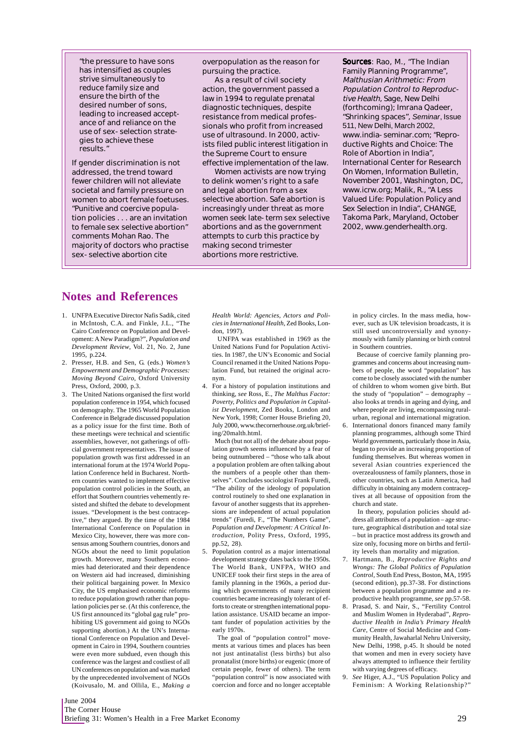"the pressure to have sons has intensified as couples strive simultaneously to reduce family size and ensure the birth of the desired number of sons, leading to increased acceptance of and reliance on the use of sex-selection strategies to achieve these results."

If gender discrimination is not addressed, the trend toward fewer children will not alleviate societal and family pressure on women to abort female foetuses. "Punitive and coercive population policies . . . are an invitation to female sex selective abortion" comments Mohan Rao. The majority of doctors who practise sex-selective abortion cite

overpopulation as the reason for pursuing the practice.

As a result of civil society action, the government passed a law in 1994 to regulate prenatal diagnostic techniques, despite resistance from medical professionals who profit from increased use of ultrasound. In 2000, activists filed public interest litigation in the Supreme Court to ensure effective implementation of the law.

Women activists are now trying to delink women's right to a safe and legal abortion from a sex selective abortion. Safe abortion is increasingly under threat as more women seek late-term sex selective abortions and as the government attempts to curb this practice by making second trimester abortions more restrictive.

Sources: Rao, M., "The Indian Family Planning Programme", Malthusian Arithmetic: From Population Control to Reproductive Health, Sage, New Delhi (forthcoming); Imrana Qadeer, "Shrinking spaces", *Seminar*, Issue 511, New Delhi, March 2002, www.india-seminar.com; "Reproductive Rights and Choice: The Role of Abortion in India", International Center for Research On Women, Information Bulletin, November 2001, Washington, DC, www.icrw.org; Malik, R., "A Less Valued Life: Population Policy and Sex Selection in India", CHANGE, Takoma Park, Maryland, October 2002, www.genderhealth.org.

#### **Notes and References**

- 1. UNFPA Executive Director Nafis Sadik, cited in McIntosh, C.A. and Finkle, J.L., "The Cairo Conference on Population and Development: A New Paradigm?", *Population and Development Review*, Vol. 21, No. 2, June 1995, p.224.
- 2. Presser, H.B. and Sen, G. (eds.) *Women's Empowerment and Demographic Processes: Moving Beyond Cairo*, Oxford University Press, Oxford, 2000, p.3.
- 3. The United Nations organised the first world population conference in 1954, which focused on demography. The 1965 World Population Conference in Belgrade discussed population as a policy issue for the first time. Both of these meetings were technical and scientific assemblies, however, not gatherings of official government representatives. The issue of population growth was first addressed in an international forum at the 1974 World Population Conference held in Bucharest. Northern countries wanted to implement effective population control policies in the South, an effort that Southern countries vehemently resisted and shifted the debate to development issues. "Development is the best contraceptive," they argued. By the time of the 1984 International Conference on Population in Mexico City, however, there was more consensus among Southern countries, donors and NGOs about the need to limit population growth. Moreover, many Southern economies had deteriorated and their dependence on Western aid had increased, diminishing their political bargaining power. In Mexico City, the US emphasised economic reforms to reduce population growth rather than population policies per se. (At this conference, the US first announced its "global gag rule" prohibiting US government aid going to NGOs supporting abortion.) At the UN's International Conference on Population and Development in Cairo in 1994, Southern countries were even more subdued, even though this conference was the largest and costliest of all UN conferences on population and was marked by the unprecedented involvement of NGOs (Koivusalo, M. and Ollila, E., *Making a*

*Health World: Agencies, Actors and Policies in International Health*, Zed Books, London, 1997).

 UNFPA was established in 1969 as the United Nations Fund for Population Activities. In 1987, the UN's Economic and Social Council renamed it the United Nations Population Fund, but retained the original acronym.

4. For a history of population institutions and thinking, *see* Ross, E., *The Malthus Factor: Poverty, Politics and Population in Capitalist Development*, Zed Books, London and New York, 1998; Corner House Briefing 20, July 2000, www.thecornerhouse.org.uk/briefing/20malth.html.

 Much (but not all) of the debate about population growth seems influenced by a fear of being outnumbered – "those who talk about a population problem are often talking about the numbers of a people other than themselves". Concludes sociologist Frank Furedi, "The ability of the ideology of population control routinely to shed one explanation in favour of another suggests that its apprehensions are independent of actual population trends" (Furedi, F., "The Numbers Game", *Population and Development: A Critical Introduction,* Polity Press, Oxford, 1995, pp.52, 28).

5. Population control as a major international development strategy dates back to the 1950s. The World Bank, UNFPA, WHO and UNICEF took their first steps in the area of family planning in the 1960s, a period during which governments of many recipient countries became increasingly tolerant of efforts to create or strengthen international population assistance. USAID became an important funder of population activities by the early 1970s.

 The goal of "population control" movements at various times and places has been not just antinatalist (less births) but also pronatalist (more births) or eugenic (more of certain people, fewer of others). The term "population control" is now associated with coercion and force and no longer acceptable

in policy circles. In the mass media, however, such as UK television broadcasts, it is still used uncontroversially and synonymously with family planning or birth control in Southern countries.

 Because of coercive family planning programmes and concerns about increasing numbers of people, the word "population" has come to be closely associated with the number of children to whom women give birth. But the study of "population" – demography – also looks at trends in ageing and dying, and where people are living, encompassing ruralurban, regional and international migration.

6. International donors financed many family planning programmes, although some Third World governments, particularly those in Asia, began to provide an increasing proportion of funding themselves. But whereas women in several Asian countries experienced the overzealousness of family planners, those in other countries, such as Latin America, had difficulty in obtaining any modern contraceptives at all because of opposition from the church and state.

 In theory, population policies should address all attributes of a population – age structure, geographical distribution and total size – but in practice most address its growth and size only, focusing more on births and fertility levels than mortality and migration.

- 7. Hartmann, B., *Reproductive Rights and Wrongs: The Global Politics of Population Control*, South End Press, Boston, MA, 1995 (second edition), pp.37-38. For distinctions between a population programme and a reproductive health programme, *see* pp.57-58.
- 8. Prasad, S. and Nair, S., "Fertility Control and Muslim Women in Hyderabad", *Reproductive Health in India's Primary Health Care*, Centre of Social Medicine and Community Health, Jawaharlal Nehru University, New Delhi, 1998, p.45. It should be noted that women and men in every society have always attempted to influence their fertility with varying degrees of efficacy.
- 9. *See* Higer, A.J., "US Population Policy and Feminism: A Working Relationship?"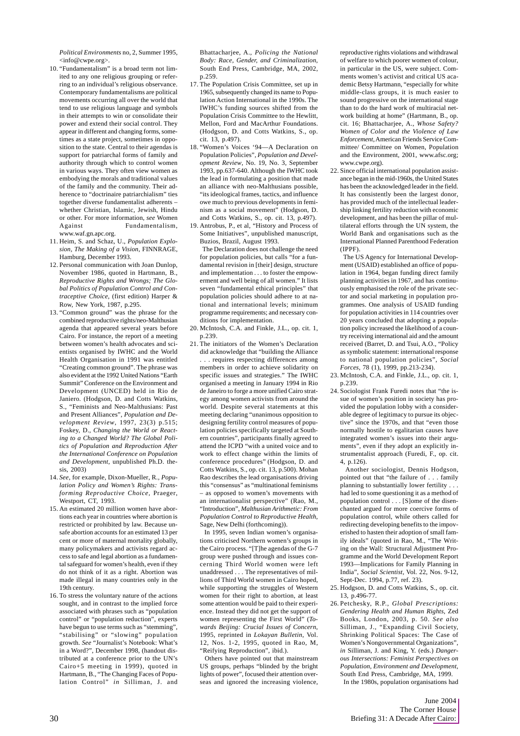*Political Environments* no, 2, Summer 1995, <info@cwpe.org>.

- 10. "Fundamentalism" is a broad term not limited to any one religious grouping or referring to an individual's religious observance. Contemporary fundamentalisms are political movements occurring all over the world that tend to use religious language and symbols in their attempts to win or consolidate their power and extend their social control. They appear in different and changing forms, sometimes as a state project, sometimes in opposition to the state. Central to their agendas is support for patriarchal forms of family and authority through which to control women in various ways. They often view women as embodying the morals and traditional values of the family and the community. Their adherence to "doctrinaire patriarchialism" ties together diverse fundamentalist adherents – whether Christian, Islamic, Jewish, Hindu or other. For more information, *see* Women Against Fundamentalism, www.waf.gn.apc.org.
- 11. Heim, S. and Schaz, U., *Population Explosion, The Making of a Vision*, FINNRAGE,
- Hamburg, December 1993. 12. Personal communication with Joan Dunlop, November 1986, quoted in Hartmann, B., *Reproductive Rights and Wrongs; The Global Politics of Population Control and Contraceptive Choice*, (first edition) Harper & Row, New York, 1987, p.295.
- 13. "Common ground" was the phrase for the combined reproductive rights/neo-Malthusian agenda that appeared several years before Cairo. For instance, the report of a meeting between women's health advocates and scientists organised by IWHC and the World Health Organisation in 1991 was entitled "Creating common ground". The phrase was also evident at the 1992 United Nations "Earth Summit" Conference on the Environment and Development (UNCED) held in Rio de Janiero. (Hodgson, D. and Cotts Watkins, S., "Feminists and Neo-Malthusians: Past and Present Alliances", *Population and Development Review*, 1997, 23(3) p.515; Foskey, D., *Changing the World or Reacting to a Changed World? The Global Politics of Population and Reproduction After the International Conference on Population and Development*, unpublished Ph.D. thesis, 2003)
- 14. *See*, for example, Dixon-Mueller, R., *Population Policy and Women's Rights: Transforming Reproductive Choice,* Praeger, Westport, CT, 1993.
- 15. An estimated 20 million women have abortions each year in countries where abortion is restricted or prohibited by law. Because unsafe abortion accounts for an estimated 13 per cent or more of maternal mortality globally, many policymakers and activists regard access to safe and legal abortion as a fundamental safeguard for women's health, even if they do not think of it as a right. Abortion was made illegal in many countries only in the 19th century.
- 16. To stress the voluntary nature of the actions sought, and in contrast to the implied force associated with phrases such as "population control" or "population reduction", experts have begun to use terms such as "stemming", "stabilising" or "slowing" population growth. *See* "Journalist's Notebook: What's in a Word?", December 1998, (handout distributed at a conference prior to the UN's Cairo+5 meeting in 1999), quoted in Hartmann, B., "The Changing Faces of Population Control" *in* Silliman, J. and

Bhattacharjee, A., *Policing the National Body: Race, Gender, and Criminalization*, South End Press, Cambridge, MA, 2002, p.259.

- 17. The Population Crisis Committee, set up in 1965, subsequently changed its name to Population Action International in the 1990s. The IWHC's funding sources shifted from the Population Crisis Committee to the Hewlitt, Mellon, Ford and MacArthur Foundations. (Hodgson, D. and Cotts Watkins, S., op. cit. 13, p.497).
- 18. "Women's Voices '94—A Declaration on Population Policies", *Population and Development Review*, No. 19, No. 3, September 1993, pp.637-640. Although the IWHC took the lead in formulating a position that made an alliance with neo-Malthusians possible, "its ideological frames, tactics, and influence owe much to previous developments in feminism as a social movement" (Hodgson, D. and Cotts Watkins, S., op. cit. 13, p.497).
- 19. Antrobus, P., et al, "History and Process of Some Initiatives", unpublished manuscript, Buzios, Brazil, August 1993.

 The Declaration does not challenge the need for population policies, but calls "for a fundamental revision in [their] design, structure and implementation . . . to foster the empowerment and well being of all women." It lists seven "fundamental ethical principles" that population policies should adhere to at national and international levels; minimum programme requirements; and necessary conditions for implementation.

- 20. McIntosh, C.A. and Finkle, J.L., op. cit. 1, p.239.
- 21. The initiators of the Women's Declaration did acknowledge that "building the Alliance . . . requires respecting differences among members in order to achieve solidarity on specific issues and strategies." The IWHC organised a meeting in January 1994 in Rio de Janeiro to forge a more unified Cairo strategy among women activists from around the world. Despite several statements at this meeting declaring "unanimous opposition to designing fertility control measures of population policies specifically targeted at Southern countries", participants finally agreed to attend the ICPD "with a united voice and to work to effect change within the limits of conference procedures" (Hodgson, D. and Cotts Watkins, S., op. cit. 13, p.500). Mohan Rao describes the lead organisations driving this "consensus" as "multinational feminisms – as opposed to women's movements with an internationalist perspective" (Rao, M., "Introduction", *Malthusian Arithmetic: From Population Control to Reproductive Health*, Sage, New Delhi (forthcoming)).

 In 1995, seven Indian women's organisations criticised Northern women's groups in the Cairo process. "[T]he agendas of the G-7 group were pushed through and issues concerning Third World women were left unaddressed . . . The representatives of millions of Third World women in Cairo hoped, while supporting the struggles of Western women for their right to abortion, at least some attention would be paid to their experience. Instead they did not get the support of women representing the First World" (*Towards Beijing: Crucial Issues of Concern*, 1995, reprinted in *Lokayan Bulletin*, Vol. 12, Nos. 1-2, 1995, quoted in Rao, M, "Reifying Reproduction", ibid.).

 Others have pointed out that mainstream US groups, perhaps "blinded by the bright lights of power", focused their attention overseas and ignored the increasing violence, reproductive rights violations and withdrawal of welfare to which poorer women of colour, in particular in the US, were subject. Comments women's activist and critical US academic Betsy Hartmann, "especially for white middle-class groups, it is much easier to sound progressive on the international stage than to do the hard work of multiracial network building at home" (Hartmann, B., op. cit. 16; Bhattacharjee, A., *Whose Safety? Women of Color and the Violence of Law Enforcement*, American Friends Service Committee/ Committee on Women, Population and the Environment, 2001, www.afsc.org; www.cwpe.org).

22. Since official international population assistance began in the mid-1960s, the United States has been the acknowledged leader in the field. It has consistently been the largest donor, has provided much of the intellectual leadership linking fertility reduction with economic development, and has been the pillar of multilateral efforts through the UN system, the World Bank and organisations such as the International Planned Parenthood Federation (IPPF).

 The US Agency for International Development (USAID) established an office of population in 1964, began funding direct family planning activities in 1967, and has continuously emphasised the role of the private sector and social marketing in population programmes. One analysis of USAID funding for population activities in 114 countries over 20 years concluded that adopting a population policy increased the likelihood of a country receiving international aid and the amount received (Barret, D. and Tsui, A.O., "Policy as symbolic statement: international response to national population policies", *Social Forces*, 78 (1), 1999, pp.213-234).

- 23. McIntosh, C.A. and Finkle, J.L., op. cit. 1, p.239.
- 24. Sociologist Frank Furedi notes that "the issue of women's position in society has provided the population lobby with a considerable degree of legitimacy to pursue its objective" since the 1970s, and that "even those normally hostile to egalitarian causes have integrated women's issues into their arguments", even if they adopt an explicitly instrumentalist approach (Furedi, F., op. cit. 4, p.126).

 Another sociologist, Dennis Hodgson, pointed out that "the failure of . . . family planning to substantially lower fertility . had led to some questioning it as a method of population control . . . [S]ome of the disenchanted argued for more coercive forms of population control, while others called for redirecting developing benefits to the impoverished to hasten their adoption of small family ideals" (quoted in Rao, M., "The Writing on the Wall: Structural Adjustment Programme and the World Development Report 1993—Implications for Family Planning in India", *Social Scientist*, Vol. 22, Nos. 9-12, Sept-Dec. 1994, p.77, ref. 23).

- 25. Hodgson, D. and Cotts Watkins, S., op. cit. 13, p.496-77.
- 26. Petchesky, R.P., *Global Prescriptions: Gendering Health and Human Rights*, Zed Books, London, 2003, p. 50. *See also* Silliman, J., "Expanding Civil Society, Shrinking Political Spaces: The Case of Women's Nongovernmental Organizations", *in* Silliman, J. and King, Y. (eds.) *Dangerous Intersections: Feminist Perspectives on Population, Environment and Development*, South End Press, Cambridge, MA, 1999. In the 1980s, population organisations had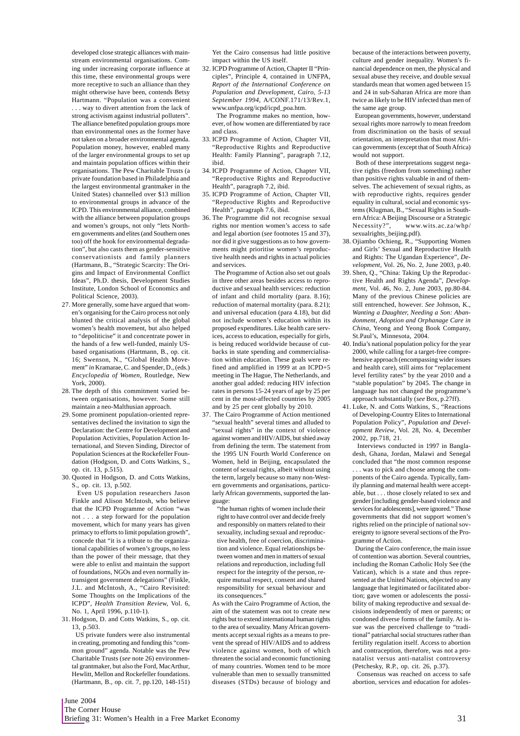developed close strategic alliances with mainstream environmental organisations. Coming under increasing corporate influence at this time, these environmental groups were more receptive to such an alliance than they might otherwise have been, contends Betsy Hartmann. "Population was a convenient . . . way to divert attention from the lack of strong activism against industrial polluters". The alliance benefited population groups more than environmental ones as the former have not taken on a broader environmental agenda. Population money, however, enabled many of the larger environmental groups to set up and maintain population offices within their organisations. The Pew Charitable Trusts (a private foundation based in Philadelphia and the largest environmental grantmaker in the United States) channelled over \$13 million to environmental groups in advance of the ICPD. This environmental alliance, combined with the alliance between population groups and women's groups, not only "lets Northern governments and elites (and Southern ones too) off the hook for environmental degradation", but also casts them as gender-sensitive conservationists and family planners (Hartmann, B., "Strategic Scarcity: The Origins and Impact of Environmental Conflict Ideas", Ph.D. thesis, Development Studies Institute, London School of Economics and Political Science, 2003).

- 27. More generally, some have argued that women's organising for the Cairo process not only blunted the critical analysis of the global women's health movement, but also helped to "depoliticise" it and concentrate power in the hands of a few well-funded, mainly USbased organisations (Hartmann, B., op. cit. 16; Swenson, N., "Global Health Movement" *in* Kramarae, C. and Spender, D., (eds.) *Encyclopedia of Women*, Routledge, New York, 2000).
- 28. The depth of this commitment varied between organisations, however. Some still maintain a neo-Malthusian approach.
- 29. Some prominent population-oriented representatives declined the invitation to sign the Declaration: the Centre for Development and Population Activities, Population Action International, and Steven Sinding, Director of Population Sciences at the Rockefeller Foundation (Hodgson, D. and Cotts Watkins, S., op. cit. 13, p.515).
- 30. Quoted in Hodgson, D. and Cotts Watkins, S., op. cit. 13, p.502.

 Even US population researchers Jason Finkle and Alison McIntosh, who believe that the ICPD Programme of Action "was not . . . a step forward for the population movement, which for many years has given primacy to efforts to limit population growth", concede that "it is a tribute to the organizational capabilities of women's groups, no less than the power of their message, that they were able to enlist and maintain the support of foundations, NGOs and even normally intransigent government delegations" (Finkle, J.L. and McIntosh, A., "Cairo Revisited: Some Thoughts on the Implications of the ICPD", *Health Transition Revie*w, Vol. 6, No. 1, April 1996, p.110-1).

31. Hodgson, D. and Cotts Watkins, S., op. cit. 13, p.503.

 US private funders were also instrumental in creating, promoting and funding this "common ground" agenda. Notable was the Pew Charitable Trusts (*see* note 26) environmental grantmaker, but also the Ford, MacArthur, Hewlitt, Mellon and Rockefeller foundations. (Hartmann, B., op. cit. 7, pp.120, 148-151) Yet the Cairo consensus had little positive impact within the US itself.

32. ICPD Programme of Action, Chapter II "Principles", Principle 4, contained in UNFPA, *Report of the International Conference on Population and Development, Cairo, 5-13 September 1994*, A/CONF.171/13/Rev.1, www.unfpa.org/icpd/icpd\_poa.htm.

 The Programme makes no mention, however, of how women are differentiated by race and class.

- 33. ICPD Programme of Action, Chapter VII, "Reproductive Rights and Reproductive Health: Family Planning", paragraph 7.12, ibid.
- 34. ICPD Programme of Action, Chapter VII, "Reproductive Rights and Reproductive Health", paragraph 7.2, ibid.
- 35. ICPD Programme of Action, Chapter VII, "Reproductive Rights and Reproductive Health", paragraph 7.6, ibid.
- 36. The Programme did not recognise sexual rights nor mention women's access to safe and legal abortion (*see* footnotes 15 and 37), nor did it give suggestions as to how governments might prioritise women's reproductive health needs and rights in actual policies and services.

 The Programme of Action also set out goals in three other areas besides access to reproductive and sexual health services: reduction of infant and child mortality (para. 8.16); reduction of maternal mortality (para. 8.21); and universal education (para 4.18), but did not include women's education within its proposed expenditures. Like health care services, access to education, especially for girls, is being reduced worldwide because of cutbacks in state spending and commercialisation within education. These goals were refined and amplified in 1999 at an ICPD+5 meeting in The Hague, The Netherlands, and another goal added: reducing HIV infection rates in persons 15-24 years of age by 25 per cent in the most-affected countries by 2005 and by 25 per cent globally by 2010.

37. The Cairo Programme of Action mentioned "sexual health" several times and alluded to "sexual rights" in the context of violence against women and HIV/AIDS, but shied away from defining the term. The statement from the 1995 UN Fourth World Conference on Women, held in Beijing, encapsulated the content of sexual rights, albeit without using the term, largely because so many non-Western governments and organisations, particularly African governments, supported the language:

> "the human rights of women include their right to have control over and decide freely and responsibly on matters related to their sexuality, including sexual and reproductive health, free of coercion, discrimination and violence. Equal relationships between women and men in matters of sexual relations and reproduction, including full respect for the integrity of the person, require mutual respect, consent and shared responsibility for sexual behaviour and its consequences."

As with the Cairo Programme of Action, the aim of the statement was not to create new rights but to extend international human rights to the area of sexuality. Many African governments accept sexual rights as a means to prevent the spread of HIV/AIDS and to address violence against women, both of which threaten the social and economic functioning of many countries. Women tend to be more vulnerable than men to sexually transmitted diseases (STDs) because of biology and because of the interactions between poverty, culture and gender inequality. Women's financial dependence on men, the physical and sexual abuse they receive, and double sexual standards mean that women aged between 15 and 24 in sub-Saharan Africa are more than twice as likely to be HIV infected than men of the same age group.

 European governments, however, understand sexual rights more narrowly to mean freedom from discrimination on the basis of sexual orientation, an interpretation that most African governments (except that of South Africa) would not support.

 Both of these interpretations suggest negative rights (freedom from something) rather than positive rights valuable in and of themselves. The achievement of sexual rights, as with reproductive rights, requires gender equality in cultural, social and economic systems (Klugman, B., "Sexual Rights in Southern Africa: A Beijing Discourse or a Strategic Necessity?", www.wits.ac.za/whp/ sexualrights\_beijing.pdf).

- 38. Ojiambo Ochieng, R., "Supporting Women and Girls' Sexual and Reproductive Health and Rights: The Ugandan Experience", *Development*, Vol. 26, No. 2, June 2003, p.40.
- 39. Shen, Q., "China: Taking Up the Reproductive Health and Rights Agenda", *Development*, Vol. 46, No. 2, June 2003, pp.80-84. Many of the previous Chinese policies are still entrenched, however. *See* Johnson, K., *Wanting a Daughter, Needing a Son: Abandonment, Adoption and Orphanage Care in China*, Yeong and Yeong Book Company, St.Paul's, Minnesota, 2004.
- 40. India's national population policy for the year 2000, while calling for a target-free comprehensive approach (encompassing wider issues and health care), still aims for "replacement level fertility rates" by the year 2010 and a "stable population" by 2045. The change in language has not changed the programme's approach substantially (*see* Box, p.27ff).
- 41. Luke, N. and Cotts Watkins, S., "Reactions of Developing-Country Elites to International Population Policy", *Population and Development Review*, Vol. 28, No. 4, December 2002, pp.718, 21.

 Interviews conducted in 1997 in Bangladesh, Ghana, Jordan, Malawi and Senegal concluded that "the most common response . . . was to pick and choose among the components of the Cairo agenda. Typically, family planning and maternal health were acceptable, but . . . those closely related to sex and gender [including gender-based violence and services for adolescents], were ignored." Those governments that did not support women's rights relied on the principle of national sovereignty to ignore several sections of the Programme of Action.

 During the Cairo conference, the main issue of contention was abortion. Several countries, including the Roman Catholic Holy See (the Vatican), which is a state and thus represented at the United Nations, objected to any language that legitimated or facilitated abortion; gave women or adolescents the possibility of making reproductive and sexual decisions independently of men or parents; or condoned diverse forms of the family. At issue was the perceived challenge to "traditional" patriarchal social structures rather than fertility regulation itself. Access to abortion and contraception, therefore, was not a pronatalist versus anti-natalist controversy (Petchesky, R.P., op. cit. 26, p.37).

 Consensus was reached on access to safe abortion, services and education for adoles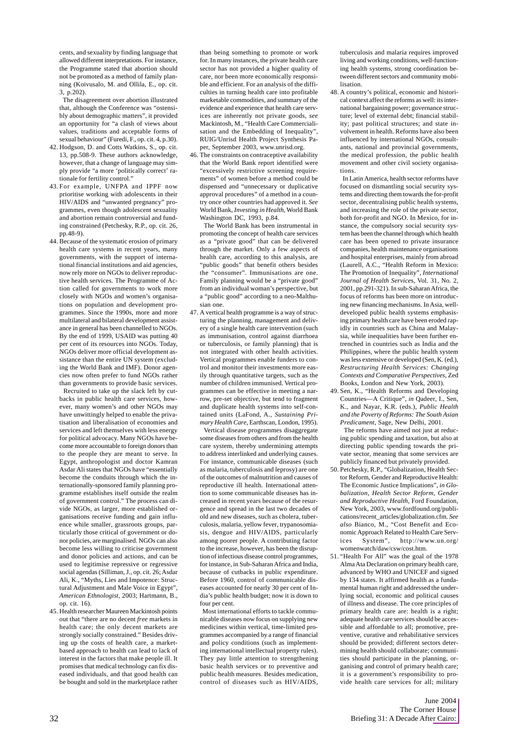cents, and sexuality by finding language that allowed different interpretations. For instance, the Programme stated that abortion should not be promoted as a method of family planning (Koivusalo, M. and Ollila, E., op. cit. 3, p.202).

 The disagreement over abortion illustrated that, although the Conference was "ostensibly about demographic matters", it provided an opportunity for "a clash of views about values, traditions and acceptable forms of sexual behaviour" (Furedi, F., op. cit. 4, p.30).

- 42. Hodgson, D. and Cotts Watkins, S., op. cit. 13, pp.508-9. These authors acknowledge, however, that a change of language may simply provide "a more 'politically correct' rationale for fertility control."
- 43. For example, UNFPA and IPPF now prioritise working with adolescents in their HIV/AIDS and "unwanted pregnancy" programmes, even though adolescent sexuality and abortion remain controversial and funding constrained (Petchesky, R.P., op. cit. 26, pp.48-9).
- 44. Because of the systematic erosion of primary health care systems in recent years, many governments, with the support of international financial institutions and aid agencies, now rely more on NGOs to deliver reproductive health services. The Programme of Action called for governments to work more closely with NGOs and women's organisations on population and development programmes. Since the 1990s, more and more multilateral and bilateral development assistance in general has been channelled to NGOs. By the end of 1999, USAID was putting 40 per cent of its resources into NGOs. Today, NGOs deliver more official development assistance than the entire UN system (excluding the World Bank and IMF). Donor agencies now often prefer to fund NGOs rather than governments to provide basic services.

 Recruited to take up the slack left by cutbacks in public health care services, however, many women's and other NGOs may have unwittingly helped to enable the privatisation and liberalisation of economies and services and left themselves with less energy for political advocacy. Many NGOs have become more accountable to foreign donors than to the people they are meant to serve. In Egypt, anthropologist and doctor Kamran Asdar Ali states that NGOs have "essentially become the conduits through which the internationally-sponsored family planning programme establishes itself outside the realm of government control." The process can divide NGOs, as larger, more established organisations receive funding and gain influence while smaller, grassroots groups, particularly those critical of government or donor policies, are marginalised. NGOs can also become less willing to criticise government and donor policies and actions, and can be used to legitimise repressive or regressive social agendas (Silliman, J., op. cit. 26; Asdar Ali, K., "Myths, Lies and Impotence: Structural Adjustment and Male Voice in Egypt", *American Ethnologist,* 2003; Hartmann, B., op. cit. 16).

45. Health researcher Maureen Mackintosh points out that "there are no decent *free* markets in health care; the only decent markets are strongly socially constrained." Besides driving up the costs of health care, a marketbased approach to health can lead to lack of interest in the factors that make people ill. It promises that medical technology can fix diseased individuals, and that good health can be bought and sold in the marketplace rather

than being something to promote or work for. In many instances, the private health care sector has not provided a higher quality of care, nor been more economically responsible and efficient. For an analysis of the difficulties in turning health care into profitable marketable commodities, and summary of the evidence and experience that health care services are inherently not private goods, *see* Mackintosh, M., "Health Care Commercialisation and the Embedding of Inequality", RUIG/Unrisd Health Project Synthesis Paper, September 2003, www.unrisd.org.

46. The constraints on contraceptive availability that the World Bank report identified were "excessively restrictive screening requirements" of women before a method could be dispensed and "unnecessary or duplicative approval procedures" of a method in a country once other countries had approved it. *See* World Bank, *Investing in Health*, World Bank Washington DC, 1993, p.84.

 The World Bank has been instrumental in promoting the concept of health care services as a "private good" that can be delivered through the market. Only a few aspects of health care, according to this analysis, are "public goods" that benefit others besides the "consumer". Immunisations are one. Family planning would be a "private good" from an individual woman's perspective, but a "public good" according to a neo-Malthusian one.

47. A vertical health programme is a way of structuring the planning, management and delivery of a single health care intervention (such as immunisation, control against diarrhoea or tuberculosis, or family planning) that is not integrated with other health activities. Vertical programmes enable funders to control and monitor their investments more easily through quantitative targets, such as the number of children immunised. Vertical programmes can be effective in meeting a narrow, pre-set objective, but tend to fragment and duplicate health systems into self-contained units (LaFond, A., *Sustaining Primary Health Care*, Earthscan, London, 1995).

 Vertical disease programmes disaggregate some diseases from others and from the health care system, thereby undermining attempts to address interlinked and underlying causes. For instance, communicable diseases (such as malaria, tuberculosis and leprosy) are one of the outcomes of malnutrition and causes of reproductive ill health. International attention to some communicable diseases has increased in recent years because of the resurgence and spread in the last two decades of old and new diseases, such as cholera, tuberculosis, malaria, yellow fever, trypanosomiasis, dengue and HIV/AIDS, particularly among poorer people. A contributing factor to the increase, however, has been the disruption of infectious disease control programmes, for instance, in Sub-Saharan Africa and India, because of cutbacks in public expenditure. Before 1960, control of communicable diseases accounted for nearly 30 per cent of India's public health budget; now it is down to four per cent.

 Most international efforts to tackle communicable diseases now focus on supplying new medicines within vertical, time-limited programmes accompanied by a range of financial and policy conditions (such as implementing international intellectual property rules). They pay little attention to strengthening basic health services or to preventive and public health measures. Besides medication, control of diseases such as HIV/AIDS, tuberculosis and malaria requires improved living and working conditions, well-functioning health systems, strong coordination between different sectors and community mobilisation.

48. A country's political, economic and historical context affect the reforms as well: its international bargaining power; governance structure; level of external debt; financial stability; past political structures; and state involvement in health. Reforms have also been influenced by international NGOs, consultants, national and provincial governments, the medical profession, the public health movement and other civil society organisations.

 In Latin America, health sector reforms have focused on dismantling social security systems and directing them towards the for-profit sector, decentralising public health systems, and increasing the role of the private sector, both for-profit and NGO. In Mexico, for instance, the compulsory social security system has been the channel through which health care has been opened to private insurance companies, health maintenance organisations and hospital enterprises, mainly from abroad (Laurell, A.C., "Health Reform in Mexico: The Promotion of Inequality", *International Journal of Health Service*s, Vol. 31, No. 2, 2001, pp.291-321). In sub-Saharan Africa, the focus of reforms has been more on introducing new financing mechanisms. In Asia, welldeveloped public health systems emphasising primary health care have been eroded rapidly in countries such as China and Malaysia, while inequalities have been further entrenched in countries such as India and the Philippines, where the public health system was less extensive or developed (Sen, K. (ed.), *Restructuring Health Services: Changing Contexts and Comparative Perspectives*, Zed Books, London and New York, 2003).

49. Sen, K., "Health Reforms and Developing Countries—A Critique", *in* Qadeer, I., Sen, K., and Nayar, K.R. (eds.), *Public Health and the Poverty of Reforms: The South Asian Predicament*, Sage, New Delhi, 2001.

 The reforms have aimed not just at reducing public spending and taxation, but also at directing public spending towards the private sector, meaning that some services are publicly financed but privately provided.

- 50. Petchesky, R.P., "Globalization, Health Sector Reform, Gender and Reproductive Health: The Economic Justice Implications", *in Globalization, Health Sector Reform, Gender and Reproductive Health*, Ford Foundation, New York, 2003, www.fordfound.org/publications/recent\_articles/globalization.cfm. *See also* Bianco, M., "Cost Benefit and Economic Approach Related to Health Care Services System", http://www.un.org/ womenwatch/daw/csw/cost.htm.
- 51. "Health For All" was the goal of the 1978 Alma Ata Declaration on primary health care, advanced by WHO and UNICEF and signed by 134 states. It affirmed health as a fundamental human right and addressed the underlying social, economic and political causes of illness and disease. The core principles of primary health care are: health is a right; adequate health care services should be accessible and affordable to all; promotive, preventive, curative and rehabilitative services should be provided; different sectors determining health should collaborate; communities should participate in the planning, organising and control of primary health care; it is a government's responsibility to provide health care services for all; military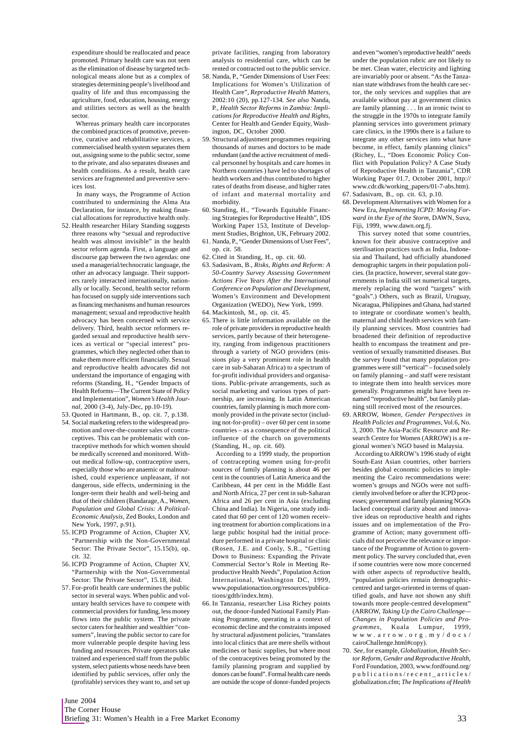expenditure should be reallocated and peace promoted. Primary health care was not seen as the elimination of disease by targeted technological means alone but as a complex of strategies determining people's livelihood and quality of life and thus encompassing the agriculture, food, education, housing, energy and utilities sectors as well as the health sector.

 Whereas primary health care incorporates the combined practices of promotive, preventive, curative and rehabilitative services, a commercialised health system separates them out, assigning some to the public sector, some to the private, and also separates diseases and health conditions. As a result, health care services are fragmented and preventive services lost.

 In many ways, the Programme of Action contributed to undermining the Alma Ata Declaration, for instance, by making financial allocations for reproductive health only.

- 52. Health researcher Hilary Standing suggests three reasons why "sexual and reproductive health was almost invisible" in the health sector reform agenda. First, a language and discourse gap between the two agendas: one used a managerial/technocratic language, the other an advocacy language. Their supporters rarely interacted internationally, nationally or locally. Second, health sector reform has focused on supply side interventions such as financing mechanisms and human resources management; sexual and reproductive health advocacy has been concerned with service delivery. Third, health sector reformers regarded sexual and reproductive health services as vertical or "special interest" programmes, which they neglected other than to make them more efficient financially. Sexual and reproductive health advocates did not understand the importance of engaging with reforms (Standing, H., "Gender Impacts of Health Reforms—The Current State of Policy and Implementation", *Women's Health Journal,* 2000 (3-4), July-Dec, pp.10-19).
- 53. Quoted in Hartmann, B., op. cit. 7, p.138.
- 54. Social marketing refers to the widespread promotion and over-the-counter sales of contraceptives. This can be problematic with contraceptive methods for which women should be medically screened and monitored. Without medical follow-up, contraceptive users, especially those who are anaemic or malnourished, could experience unpleasant, if not dangerous, side effects, undermining in the longer-term their health and well-being and that of their children (Bandarage, A., *Women, Population and Global Crisis: A Political-Economic Analysis*, Zed Books, London and New York, 1997, p.91).
- 55. ICPD Programme of Action, Chapter XV, "Partnership with the Non-Governmental Sector: The Private Sector", 15.15(b), op. cit. 32.
- 56. ICPD Programme of Action, Chapter XV, "Partnership with the Non-Governmental Sector: The Private Sector", 15.18, ibid.
- 57. For-profit health care undermines the public sector in several ways. When public and voluntary health services have to compete with commercial providers for funding, less money flows into the public system. The private sector caters for healthier and wealthier "consumers", leaving the public sector to care for more vulnerable people despite having less funding and resources. Private operators take trained and experienced staff from the public system, select patients whose needs have been identified by public services, offer only the (profitable) services they want to, and set up

private facilities, ranging from laboratory analysis to residential care, which can be rented or contracted out to the public service.

- 58. Nanda, P., "Gender Dimensions of User Fees: Implications for Women's Utilization of Health Care", *Reproductive Health Matters*, 2002:10 (20), pp.127-134. *See also* Nanda, P., *Health Sector Reforms in Zambia: Implications for Reproductive Health and Rights*, Center for Health and Gender Equity, Washington, DC, October 2000.
- 59. Structural adjustment programmes requiring thousands of nurses and doctors to be made redundant (and the active recruitment of medical personnel by hospitals and care homes in Northern countries ) have led to shortages of health workers and thus contributed to higher rates of deaths from disease, and higher rates of infant and maternal mortality and morbidity.
- 60. Standing, H., "Towards Equitable Financing Strategies for Reproductive Health", IDS Working Paper 153, Institute of Development Studies, Brighton, UK, February 2002. 61. Nanda, P., "Gender Dimensions of User Fees",
- op. cit. 58.
- 62. Cited in Standing, H., op. cit. 60.
- 63. Sadasivam, B., *Risks, Rights and Reform: A 50-Country Survey Assessing Government Actions Five Years After the International Conference on Population and Development*, Women's Environment and Development Organization (WEDO), New York, 1999.
- 64. Mackintosh, M., op. cit. 45.
- 65. There is little information available on the role of private providers in reproductive health services, partly because of their heterogeneity, ranging from indigenous practitioners through a variety of NGO providers (missions play a very prominent role in health care in sub-Saharan Africa) to a spectrum of for-profit individual providers and organisations. Public-private arrangements, such as social marketing and various types of partnership, are increasing. In Latin American countries, family planning is much more commonly provided in the private sector (including not-for-profit) – over 60 per cent in some countries – as a consequence of the political influence of the church on governments (Standing, H., op. cit. 60).

 According to a 1999 study, the proportion of contracepting women using for-profit sources of family planning is about 46 per cent in the countries of Latin America and the Caribbean, 44 per cent in the Middle East and North Africa, 27 per cent in sub-Saharan Africa and 26 per cent in Asia (excluding China and India). In Nigeria, one study indicated that 60 per cent of 120 women receiving treatment for abortion complications in a large public hospital had the initial procedure performed in a private hospital or clinic (Rosen, J.E. and Conly, S.R., "Getting Down to Business: Expanding the Private Commercial Sector's Role in Meeting Reproductive Health Needs", Population Action International, Washington DC, 1999, www.populationaction.org/resources/publications/gdtb/index.htm).

66. In Tanzania, researcher Lisa Richey points out, the donor-funded National Family Planning Programme, operating in a context of economic decline and the constraints imposed by structural adjustment policies, "translates into local clinics that are mere shells without medicines or basic supplies, but where most of the contraceptives being promoted by the family planning program and supplied by donors can be found". Formal health care needs are outside the scope of donor-funded projects

and even "women's reproductive health" needs under the population rubric are not likely to be met. Clean water, electricity and lighting are invariably poor or absent. "As the Tanzanian state withdraws from the health care sector, the only services and supplies that are available without pay at government clinics are family planning . . . In an ironic twist to the struggle in the 1970s to integrate family planning services into government primary care clinics, in the 1990s there is a failure to integrate any other services into what have become, in effect, family planning clinics" (Richey, L., "Does Economic Policy Conflict with Population Policy? A Case Study of Reproductive Health in Tanzania", CDR Working Paper 01.7, October 2001, http:// www.cdr.dk/working\_papers/01-7-abs.htm).

- 67. Sadasivam, B., op. cit. 63, p.10.
- 68. Development Alternatives with Women for a New Era, *Implementing ICPD: Moving Forward in the Eye of the Storm*, DAWN, Suva, Fiji, 1999, www.dawn.org.fj.

 This survey noted that some countries, known for their abusive contraceptive and sterilisation practices such as India, Indonesia and Thailand, had officially abandoned demographic targets in their population policies. (In practice, however, several state governments in India still set numerical targets, merely replacing the word "targets" with "goals".) Others, such as Brazil, Uruguay, Nicaragua, Philippines and Ghana, had started to integrate or coordinate women's health, maternal and child health services with family planning services. Most countries had broadened their definition of reproductive health to encompass the treatment and prevention of sexually transmitted diseases. But the survey found that many population programmes were still "vertical" – focused solely on family planning – and staff were resistant to integrate them into health services more generally. Programmes might have been renamed "reproductive health", but family planning still received most of the resources.

- 69. ARROW, *Women, Gender Perspectives in Health Policies and Programmes*, Vol.6, No. 3, 2000. The Asia-Pacific Resource and Research Centre for Women (ARROW) is a regional women's NGO based in Malaysia. According to ARROW's 1996 study of eight South-East Asian countries, other barriers besides global economic policies to implementing the Cairo recommendations were: women's groups and NGOs were not sufficiently involved before or after the ICPD processes; government and family planning NGOs lacked conceptual clarity about and innovative ideas on reproductive health and rights issues and on implementation of the Programme of Action; many government officials did not perceive the relevance or importance of the Programme of Action to government policy. The survey concluded that, even if some countries were now more concerned with other aspects of reproductive health, "population policies remain demographiccentred and target-oriented in terms of quantified goals, and have not shown any shift towards more people-centred development" (ARROW, *Taking Up the Cairo Challenge— Changes in Population Policies and Programmes,* Kuala Lumpur, 1999, www.arrow.org.my/docs/ cairoChallenge.html#copy).
- 70. *See*, for example, *Globalization, Health Sector Reform, Gender and Reproductive Health*, Ford Foundation, 2003, www.fordfound.org/ publications/recent\_articles/ globalization.cfm; *The Implications of Health*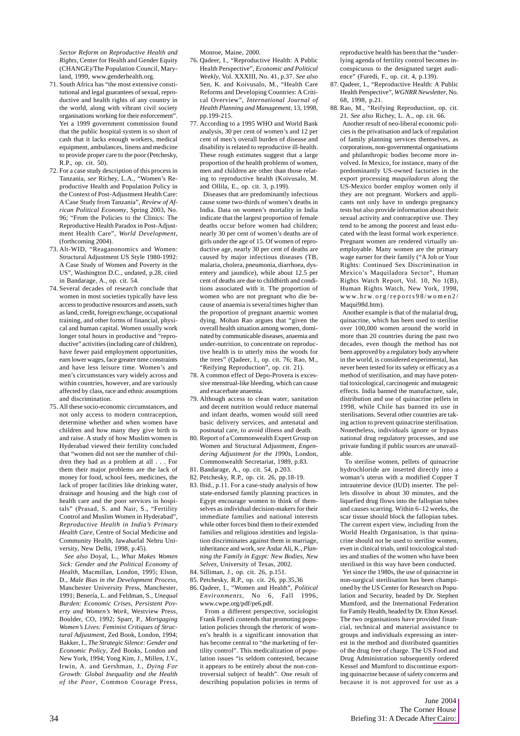*Sector Reform on Reproductive Health and Rights*, Center for Health and Gender Equity (CHANGE)/The Population Council, Maryland, 1999, www.genderhealth.org.

- 71. South Africa has "the most extensive constitutional and legal guarantees of sexual, reproductive and health rights of any country in the world, along with vibrant civil society organisations working for their enforcement". Yet a 1999 government commission found that the public hospital system is so short of cash that it lacks enough workers, medical equipment, ambulances, linens and medicine to provide proper care to the poor (Petchesky, R.P., op. cit. 50).
- 72. For a case study description of this process in Tanzania, *see* Richey, L.A., "Women's Reproductive Health and Population Policy in the Context of Post-Adjustment Health Care: A Case Study from Tanzania", *Review of African Political Economy*, Spring 2003, No. 96; "From the Policies to the Clinics: The Reproductive Health Paradox in Post-Adjustment Health Care", *World Development*, (forthcoming 2004).
- 73. Alt-WID, "Reaganonomics and Women: Structural Adjustment US Style 1980-1992: A Case Study of Women and Poverty in the US", Washington D.C., undated, p.28, cited in Bandarage, A., op. cit. 54.
- 74. Several decades of research conclude that women in most societies typically have less access to productive resources and assets, such as land, credit, foreign exchange, occupational training, and other forms of financial, physical and human capital. Women usually work longer total hours in productive and "reproductive" activities (including care of children), have fewer paid employment opportunities, earn lower wages, face greater time constraints and have less leisure time. Women's and men's circumstances vary widely across and within countries, however, and are variously affected by class, race and ethnic assumptions and discrimination.
- 75. All these socio-economic circumstances, and not only access to modern contraception, determine whether and when women have children and how many they give birth to and raise. A study of how Muslim women in Hyderabad viewed their fertility concluded that "women did not see the number of children they had as a problem at all . . . For them their major problems are the lack of money for food, school fees, medicines, the lack of proper facilities like drinking water, drainage and housing and the high cost of health care and the poor services in hospitals" (Prasad, S. and Nair, S., "Fertility Control and Muslim Women in Hyderabad", *Reproductive Health in India's Primary Health Care*, Centre of Social Medicine and Community Health, Jawaharlal Nehru University, New Delhi, 1998, p.45).

 *See also* Doyal, L., *What Makes Women Sick: Gender and the Political Economy of Health*, Macmillan, London, 1995; Elson, D., *Male Bias in the Development Process*, Manchester University Press, Manchester, 1991; Benería, L. and Feldman, S., *Unequal Burden: Economic Crises, Persistent Poverty and Women's Work*, Westview Press, Boulder, CO, 1992; Sparr, P., *Mortgaging Women's Lives: Feminist Critiques of Structural Adjustment*, Zed Book, London, 1994; Bakker, I., *The Strategic Silence: Gender and Economic Policy*, Zed Books, London and New York, 1994; Yong Kim, J., Millen, J.V., Irwin, A. and Gershman, J., *Dying For Growth: Global Inequality and the Health of the Poor*, Common Courage Press,

Monroe, Maine, 2000.

- 76. Qadeer, I., "Reproductive Health: A Public Health Perspective", *Economic and Political Weekly*, Vol. XXXIII, No. 41, p.37. *See also* Sen, K. and Koivusalo, M., "Health Care Reforms and Developing Countries: A Critical Overview", *International Journal of Health Planning and Management,* 13, 1998, pp.199-215.
- 77. According to a 1995 WHO and World Bank analysis, 30 per cent of women's and 12 per cent of men's overall burden of disease and disability is related to reproductive ill-health. These rough estimates suggest that a large proportion of the health problems of women, men and children are other than those relating to reproductive health (Koivusalo, M. and Ollila, E., op. cit. 3, p.199).

 Diseases that are predominantly infectious cause some two-thirds of women's deaths in India. Data on women's mortality in India indicate that the largest proportion of female deaths occur before women had children; nearly 30 per cent of women's deaths are of girls under the age of 15. Of women of reproductive age, nearly 30 per cent of deaths are caused by major infectious diseases (TB, malaria, cholera, pneumonia, diarrhoea, dysentery and jaundice), while about 12.5 per cent of deaths are due to childbirth and conditions associated with it. The proportion of women who are not pregnant who die because of anaemia is several times higher than the proportion of pregnant anaemic women dying. Mohan Rao argues that "given the overall health situation among women, dominated by communicable diseases, anaemia and under-nutrition, to concentrate on reproductive health is to utterly miss the woods for the trees" (Qadeer, I., op. cit. 76; Rao, M., "Reifying Reproduction", op. cit. 21).

- 78. A common effect of Depo-Provera is excessive menstrual-like bleeding, which can cause and exacerbate anaemia.
- 79. Although access to clean water, sanitation and decent nutrition would reduce maternal and infant deaths, women would still need basic delivery services, and antenatal and postnatal care, to avoid illness and death.
- 80. Report of a Commonwealth Expert Group on Women and Structural Adjustment, *Engendering Adjustment for the 1990s*, London, Commonwealth Secretariat, 1989, p.83.
- 81. Bandarage, A., op. cit. 54, p.203.
- 82. Petchesky, R.P., op. cit. 26, pp.18-19.
- 83. Ibid., p.11. For a case-study analysis of how state-endorsed family planning practices in Egypt encourage women to think of themselves as individual decision-makers for their immediate families and national interests while other forces bind them to their extended families and religious identities and legislation discriminates against them in marriage, inheritance and work, *see* Asdar Ali, K., *Planning the Family in Egypt: New Bodies, New Selves*, University of Texas, 2002.
- 84. Silliman, J., op. cit. 26, p.151.
- 85. Petchesky, R.P., op. cit. 26, pp.35,36
- 86. Qadeer, I., "Women and Health", *Political Environments*, No 6, Fall 1996, www.cwpe.org/pdf/pe6.pdf.

 From a different perspective, sociologist Frank Furedi contends that promoting population policies through the rhetoric of women's health is a significant innovation that has become central to "the marketing of fertility control". This medicalization of population issues "is seldom contested, because it appears to be entirely about the non-controversial subject of health". One result of describing population policies in terms of reproductive health has been that the "underlying agenda of fertility control becomes inconspicuous to the designated target audience" (Furedi, F., op. cit. 4, p.139).

- 87. Qadeer, I., "Reproductive Health: A Public Health Perspective", *WGNRR Newsletter*, No. 68, 1998, p.21.
- 88. Rao, M., "Reifying Reproduction, op. cit. 21. *See also* Richey, L. A., op. cit. 66.

 Another result of neo-liberal economic policies is the privatisation and lack of regulation of family planning services themselves, as corporations, non-governmental organisations and philanthropic bodies become more involved. In Mexico, for instance, many of the predominantly US-owned factories in the export processing *maquiladoras* along the US-Mexico border employ women only if they are not pregnant. Workers and applicants not only have to undergo pregnancy tests but also provide information about their sexual activity and contraceptive use. They tend to be among the poorest and least educated with the least formal work experience. Pregnant women are rendered virtually unemployable. Many women are the primary wage earner for their family ("A Job or Your Rights: Continued Sex Discrimination in Mexico's Maquiladora Sector", Human Rights Watch Report, Vol. 10, No 1(B), Human Rights Watch, New York, 1998, www.hrw.org/reports98/women2/ Maqui98d.htm).

 Another example is that of the malarial drug, quinacrine, which has been used to sterilise over 100,000 women around the world in more than 20 countries during the past two decades, even though the method has not been approved by a regulatory body anywhere in the world, is considered experimental, has never been tested for its safety or efficacy as a method of sterilisation, and may have potential toxicological, carcinogenic and mutagenic effects. India banned the manufacture, sale, distribution and use of quinacrine pellets in 1998, while Chile has banned its use in sterilisations. Several other countries are taking action to prevent quinacrine sterilisation. Nonetheless, individuals ignore or bypass national drug regulatory processes, and use private funding if public sources are unavailable.

 To sterilise women, pellets of quinacrine hydrochloride are inserted directly into a woman's uterus with a modified Copper T intrauterine device (IUD) inserter. The pellets dissolve in about 30 minutes, and the liquefied drug flows into the fallopian tubes and causes scarring. Within 6–12 weeks, the scar tissue should block the fallopian tubes. The current expert view, including from the World Health Organisation, is that quinacrine should not be used to sterilise women, even in clinical trials, until toxicological studies and studies of the women who have been sterilised in this way have been conducted. Yet since the 1980s, the use of quinacrine in non-surgical sterilisation has been championed by the US Center for Research on Population and Security, headed by Dr. Stephen Mumford, and the International Federation for Family Health, headed by Dr. Elton Kessel. The two organisations have provided financial, technical and material assistance to groups and individuals expressing an interest in the method and distributed quantities of the drug free of charge. The US Food and Drug Administration subsequently ordered Kessel and Mumford to discontinue exporting quinacrine because of safety concerns and

because it is not approved for use as a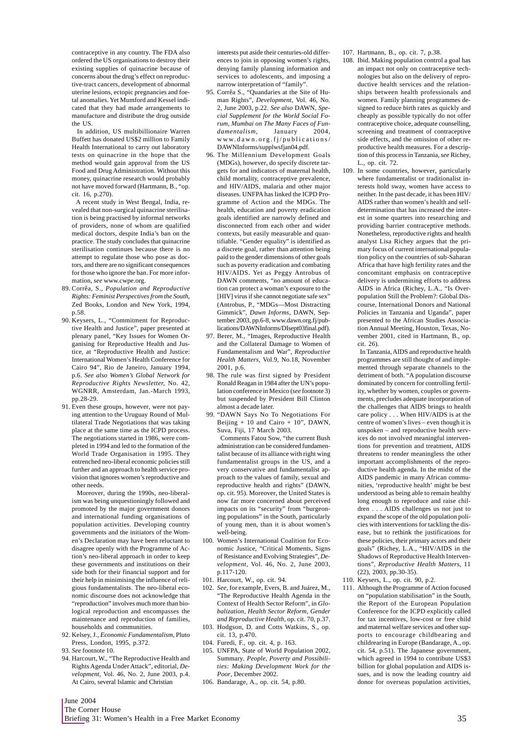contraceptive in any country. The FDA also ordered the US organisations to destroy their existing supplies of quinacrine because of concerns about the drug's effect on reproductive-tract cancers, development of abnormal uterine lesions, ectopic pregnancies and foetal anomalies. Yet Mumford and Kessel indicated that they had made arrangements to manufacture and distribute the drug outside the US.

 In addition, US multibillionaire Warren Buffett has donated US\$2 million to Family Health International to carry out laboratory tests on quinacrine in the hope that the method would gain approval from the US Food and Drug Administration. Without this money, quinacrine research would probably not have moved forward (Hartmann, B., "op. cit. 16, p.270).

 A recent study in West Bengal, India, revealed that non-surgical quinacrine sterilisation is being practised by informal networks of providers, none of whom are qualified medical doctors, despite India's ban on the practice. The study concludes that quinacrine sterilisation continues because there is no attempt to regulate those who pose as doctors, and there are no significant consequences for those who ignore the ban. For more information, *see* www.cwpe.org.

- 89. Corrêa, S., *Population and Reproductive Rights: Feminist Perspectives from the South*, Zed Books, London and New York, 1994, p.58.
- 90. Keysers, L., "Commitment for Reproductive Health and Justice", paper presented at plenary panel, "Key Issues for Women Organising for Reproductive Health and Justice, at "Reproductive Health and Justice: International Women's Health Conference for Cairo 94", Rio de Janeiro, January 1994, p.6. *See also Women's Global Network for Reproductive Rights Newsletter,* No. 42, WGNRR, Amsterdam, Jan.-March 1993, pp.28-29.
- 91. Even these groups, however, were not paying attention to the Uruguay Round of Multilateral Trade Negotiations that was taking place at the same time as the ICPD process. The negotiations started in 1986, were completed in 1994 and led to the formation of the World Trade Organisation in 1995. They entrenched neo-liberal economic policies still further and an approach to health service provision that ignores women's reproductive and other needs.

 Moreover, during the 1990s, neo-liberalism was being unquestioningly followed and promoted by the major government donors and international funding organisations of population activities. Developing country governments and the initiators of the Women's Declaration may have been reluctant to disagree openly with the Programme of Action's neo-liberal approach in order to keep these governments and institutions on their side both for their financial support and for their help in minimising the influence of religious fundamentalists. The neo-liberal economic discourse does not acknowledge that "reproduction" involves much more than biological reproduction and encompasses the maintenance and reproduction of families, households and communities.

- 92. Kelsey, J., *Economic Fundamentalism*, Pluto Press, London, 1995, p.372.
- 93. *See* footnote 10.
- 94. Harcourt, W., "The Reproductive Health and Rights Agenda Under Attack", editorial, *Development*, Vol. 46, No. 2, June 2003, p.4. At Cairo, several Islamic and Christian

interests put aside their centuries-old differences to join in opposing women's rights, denying family planning information and services to adolescents, and imposing a narrow interpretation of "family".

- 95. Corrêa S., "Quandaries at the Site of Human Rights", *Development,* Vol. 46, No. 2, June 2003, p.22. *See also* DAWN, *Special Supplement for the World Social Forum, Mumbai on The Many Faces of Fundamentalism*, January 2004, www.dawn.org.fj/publications/ DAWNInforms/supplwsfjan04.pdf.
- 96. The Millennium Development Goals (MDGs), however, do specify discrete targets for and indicators of maternal health, child mortality, contraceptive prevalence, and HIV/AIDS, malaria and other major diseases. UNFPA has linked the ICPD Programme of Action and the MDGs. The health, education and poverty eradication goals identified are narrowly defined and disconnected from each other and wider contexts, but easily measurable and quantifiable. "Gender equality" is identified as a discrete goal, rather than attention being paid to the gender dimensions of other goals such as poverty eradication and combating HIV/AIDS. Yet as Peggy Antrobus of DAWN comments, "no amount of education can protect a woman's exposure to the [HIV] virus if she cannot negotiate safe sex" (Antrobus, P., "MDGs—Most Distracting Gimmick", *Dawn Informs*, DAWN, September 2003, pp.6-8, www.dawn.org.fj/publications/DAWNInforms/DIsept03final.pdf).
- 97. Berer, M., "Images, Reproductive Health and the Collateral Damage to Women of Fundamentalism and War", *Reproductive Health Matters*, Vol.9, No.18, November 2001, p.6.
- 98. The rule was first signed by President Ronald Reagan in 1984 after the UN's population conference in Mexico (*see* footnote 3) but suspended by President Bill Clinton almost a decade later.
- 99. "DAWN Says No To Negotiations For Beijing  $+10$  and Cairo  $+10$ ", DAWN, Suva, Fiji, 17 March 2003.

 Comments Fatou Sow, "the current Bush administration can be considered fundamentalist because of its alliance with right wing fundamentalist groups in the US, and a very conservative and fundamentalist approach to the values of family, sexual and reproductive health and rights" (DAWN, op. cit. 95). Moreover, the United States is now far more concerned about perceived impacts on its "security" from "burgeoning populations" in the South, particularly of young men, than it is about women's well-being.

- 100. Women's International Coalition for Economic Justice, "Critical Moments, Signs of Resistance and Evolving Strategies", *Development*, Vol. 46, No. 2, June 2003, p.117-120.
- 101. Harcourt, W., op. cit. 94.
- 102. *See*, for example, Evers, B. and Juárez, M., "The Reproductive Health Agenda in the Context of Health Sector Reform", in *Globalization, Health Sector Reform, Gender and Reproductive Health*, op. cit. 70, p.37.
- 103. Hodgson, D. and Cotts Watkins, S., op. cit. 13, p.470.
- 104. Furedi, F., op. cit. 4, p. 163.
- 105. UNFPA, State of World Population 2002, Summary*. People, Poverty and Possibilities: Making Development Work for the Poor*, December 2002.
- 106. Bandarage, A., op. cit. 54, p.80.
- 107. Hartmann, B., op. cit. 7, p.38.
- 108. Ibid. Making population control a goal has an impact not only on contraceptive technologies but also on the delivery of reproductive health services and the relationships between health professionals and women. Family planning programmes designed to reduce birth rates as quickly and cheaply as possible typically do not offer contraceptive choice, adequate counselling, screening and treatment of contraceptive side effects, and the omission of other reproductive health measures. For a description of this process in Tanzania, *see* Richey, L., op. cit. 72.
- 109. In some countries, however, particularly where fundamentalist or traditionalist interests hold sway, women have access to neither. In the past decade, it has been HIV/ AIDS rather than women's health and selfdetermination that has increased the interest in some quarters into researching and providing barrier contraceptive methods. Nonetheless, reproductive rights and health analyst Lisa Richey argues that the primary focus of current international population policy on the countries of sub-Saharan Africa that have high fertility rates and the concomitant emphasis on contraceptive delivery is undermining efforts to address AIDS in Africa (Richey, L.A., "Is Overpopulation Still the Problem?: Global Discourse, International Donors and National Policies in Tanzania and Uganda", paper presented to the African Studies Association Annual Meeting, Houston, Texas, November 2001, cited in Hartmann, B., op. cit. 26).

 In Tanzania, AIDS and reproductive health programmes are still thought of and implemented through separate channels to the detriment of both. "A population discourse dominated by concern for controlling fertility, whether by women, couples or governments, precludes adequate incorporation of the challenges that AIDS brings to health care policy . . . When HIV/AIDS is at the centre of women's lives – even though it is unspoken – and reproductive health services do not involved meaningful interventions for prevention and treatment, AIDS threatens to render meaningless the other important accomplishments of the reproductive health agenda. In the midst of the AIDS pandemic in many African communities, 'reproductive health' might be best understood as being able to remain healthy long enough to reproduce and raise children . . . AIDS challenges us not just to expand the scope of the old population policies with interventions for tackling the disease, but to rethink the justifications for these policies, their primary actors and their goals" (Richey, L.A., "HIV/AIDS in the Shadows of Reproductive Health Interventions", *Reproductive Health Matters*, 11 (22), 2003, pp.30-35).

- 110. Keysers, L., op. cit. 90, p.2.
- 111. Although the Programme of Action focused on "population stabilisation" in the South, the Report of the European Population Conference for the ICPD explicitly called for tax incentives, low-cost or free child and maternal welfare services and other supports to encourage childbearing and childrearing in Europe (Bandarage, A., op. cit. 54, p.51). The Japanese government, which agreed in 1994 to contribute US\$3 billion for global population and AIDS issues, and is now the leading country aid donor for overseas population activities,